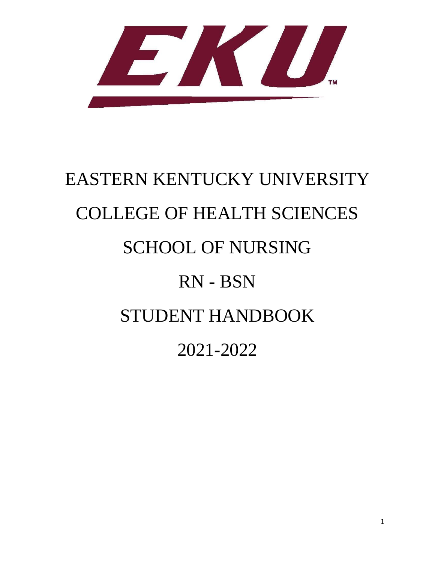

# EASTERN KENTUCKY UNIVERSITY COLLEGE OF HEALTH SCIENCES SCHOOL OF NURSING RN - BSN STUDENT HANDBOOK 2021-2022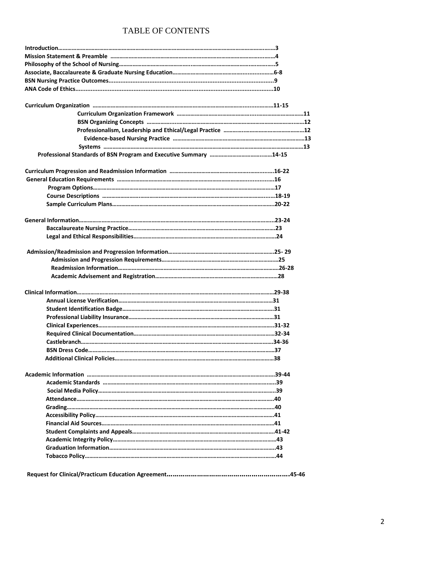#### TABLE OF CONTENTS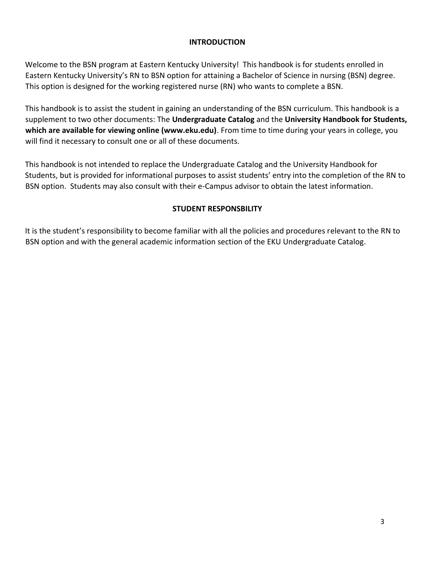#### **INTRODUCTION**

Welcome to the BSN program at Eastern Kentucky University! This handbook is for students enrolled in Eastern Kentucky University's RN to BSN option for attaining a Bachelor of Science in nursing (BSN) degree. This option is designed for the working registered nurse (RN) who wants to complete a BSN.

This handbook is to assist the student in gaining an understanding of the BSN curriculum. This handbook is a supplement to two other documents: The **Undergraduate Catalog** and the **University Handbook for Students, which are available for viewing online (www.eku.edu)**. From time to time during your years in college, you will find it necessary to consult one or all of these documents.

This handbook is not intended to replace the Undergraduate Catalog and the University Handbook for Students, but is provided for informational purposes to assist students' entry into the completion of the RN to BSN option. Students may also consult with their e-Campus advisor to obtain the latest information.

#### **STUDENT RESPONSBILITY**

It is the student's responsibility to become familiar with all the policies and procedures relevant to the RN to BSN option and with the general academic information section of the EKU Undergraduate Catalog.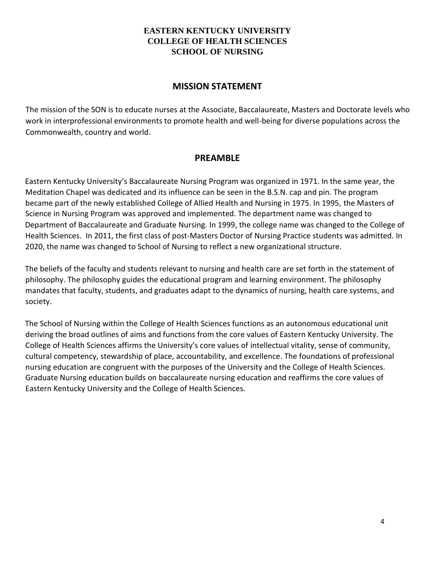#### **EASTERN KENTUCKY UNIVERSITY COLLEGE OF HEALTH SCIENCES SCHOOL OF NURSING**

#### **MISSION STATEMENT**

The mission of the SON is to educate nurses at the Associate, Baccalaureate, Masters and Doctorate levels who work in interprofessional environments to promote health and well-being for diverse populations across the Commonwealth, country and world.

#### **PREAMBLE**

Eastern Kentucky University's Baccalaureate Nursing Program was organized in 1971. In the same year, the Meditation Chapel was dedicated and its influence can be seen in the B.S.N. cap and pin. The program became part of the newly established College of Allied Health and Nursing in 1975. In 1995, the Masters of Science in Nursing Program was approved and implemented. The department name was changed to Department of Baccalaureate and Graduate Nursing. In 1999, the college name was changed to the College of Health Sciences. In 2011, the first class of post-Masters Doctor of Nursing Practice students was admitted. In 2020, the name was changed to School of Nursing to reflect a new organizational structure.

The beliefs of the faculty and students relevant to nursing and health care are set forth in the statement of philosophy. The philosophy guides the educational program and learning environment. The philosophy mandates that faculty, students, and graduates adapt to the dynamics of nursing, health care systems, and society.

The School of Nursing within the College of Health Sciences functions as an autonomous educational unit deriving the broad outlines of aims and functions from the core values of Eastern Kentucky University. The College of Health Sciences affirms the University's core values of intellectual vitality, sense of community, cultural competency, stewardship of place, accountability, and excellence. The foundations of professional nursing education are congruent with the purposes of the University and the College of Health Sciences. Graduate Nursing education builds on baccalaureate nursing education and reaffirms the core values of Eastern Kentucky University and the College of Health Sciences.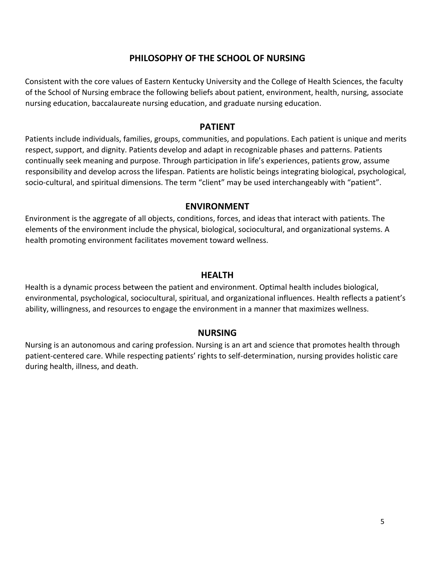#### **PHILOSOPHY OF THE SCHOOL OF NURSING**

Consistent with the core values of Eastern Kentucky University and the College of Health Sciences, the faculty of the School of Nursing embrace the following beliefs about patient, environment, health, nursing, associate nursing education, baccalaureate nursing education, and graduate nursing education.

#### **PATIENT**

Patients include individuals, families, groups, communities, and populations. Each patient is unique and merits respect, support, and dignity. Patients develop and adapt in recognizable phases and patterns. Patients continually seek meaning and purpose. Through participation in life's experiences, patients grow, assume responsibility and develop across the lifespan. Patients are holistic beings integrating biological, psychological, socio‐cultural, and spiritual dimensions. The term "client" may be used interchangeably with "patient".

#### **ENVIRONMENT**

Environment is the aggregate of all objects, conditions, forces, and ideas that interact with patients. The elements of the environment include the physical, biological, sociocultural, and organizational systems. A health promoting environment facilitates movement toward wellness.

#### **HEALTH**

Health is a dynamic process between the patient and environment. Optimal health includes biological, environmental, psychological, sociocultural, spiritual, and organizational influences. Health reflects a patient's ability, willingness, and resources to engage the environment in a manner that maximizes wellness.

#### **NURSING**

Nursing is an autonomous and caring profession. Nursing is an art and science that promotes health through patient-centered care. While respecting patients' rights to self-determination, nursing provides holistic care during health, illness, and death.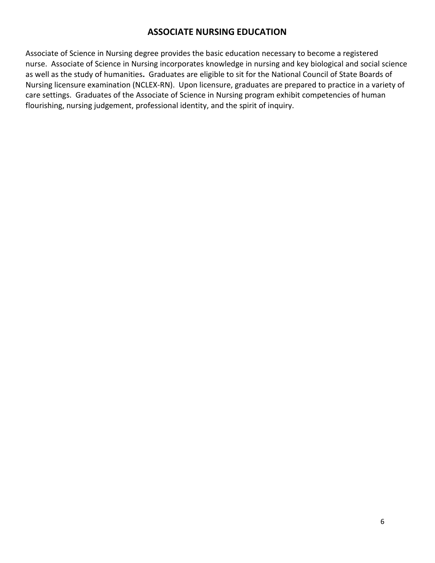#### **ASSOCIATE NURSING EDUCATION**

Associate of Science in Nursing degree provides the basic education necessary to become a registered nurse. Associate of Science in Nursing incorporates knowledge in nursing and key biological and social science as well as the study of humanities**.** Graduates are eligible to sit for the National Council of State Boards of Nursing licensure examination (NCLEX-RN). Upon licensure, graduates are prepared to practice in a variety of care settings. Graduates of the Associate of Science in Nursing program exhibit competencies of human flourishing, nursing judgement, professional identity, and the spirit of inquiry.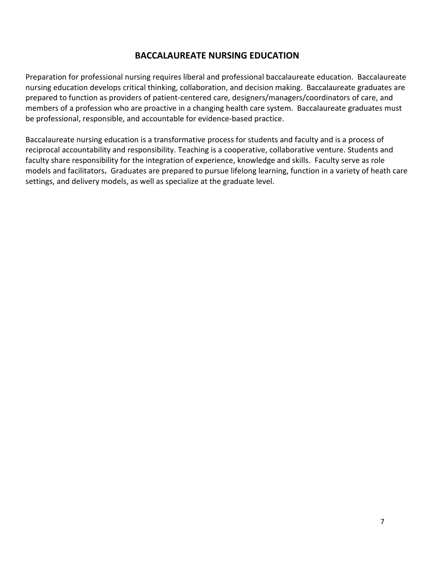#### **BACCALAUREATE NURSING EDUCATION**

Preparation for professional nursing requires liberal and professional baccalaureate education. Baccalaureate nursing education develops critical thinking, collaboration, and decision making. Baccalaureate graduates are prepared to function as providers of patient-centered care, designers/managers/coordinators of care, and members of a profession who are proactive in a changing health care system. Baccalaureate graduates must be professional, responsible, and accountable for evidence-based practice.

Baccalaureate nursing education is a transformative process for students and faculty and is a process of reciprocal accountability and responsibility. Teaching is a cooperative, collaborative venture. Students and faculty share responsibility for the integration of experience, knowledge and skills. Faculty serve as role models and facilitators**.** Graduates are prepared to pursue lifelong learning, function in a variety of heath care settings, and delivery models, as well as specialize at the graduate level.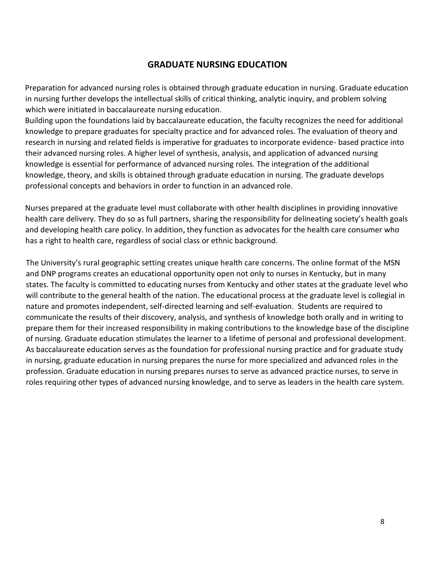#### **GRADUATE NURSING EDUCATION**

Preparation for advanced nursing roles is obtained through graduate education in nursing. Graduate education in nursing further develops the intellectual skills of critical thinking, analytic inquiry, and problem solving which were initiated in baccalaureate nursing education.

Building upon the foundations laid by baccalaureate education, the faculty recognizes the need for additional knowledge to prepare graduates for specialty practice and for advanced roles. The evaluation of theory and research in nursing and related fields is imperative for graduates to incorporate evidence- based practice into their advanced nursing roles. A higher level of synthesis, analysis, and application of advanced nursing knowledge is essential for performance of advanced nursing roles. The integration of the additional knowledge, theory, and skills is obtained through graduate education in nursing. The graduate develops professional concepts and behaviors in order to function in an advanced role.

Nurses prepared at the graduate level must collaborate with other health disciplines in providing innovative health care delivery. They do so as full partners, sharing the responsibility for delineating society's health goals and developing health care policy. In addition, they function as advocates for the health care consumer who has a right to health care, regardless of social class or ethnic background.

The University's rural geographic setting creates unique health care concerns. The online format of the MSN and DNP programs creates an educational opportunity open not only to nurses in Kentucky, but in many states. The faculty is committed to educating nurses from Kentucky and other states at the graduate level who will contribute to the general health of the nation. The educational process at the graduate level is collegial in nature and promotes independent, self-directed learning and self-evaluation. Students are required to communicate the results of their discovery, analysis, and synthesis of knowledge both orally and in writing to prepare them for their increased responsibility in making contributions to the knowledge base of the discipline of nursing. Graduate education stimulates the learner to a lifetime of personal and professional development. As baccalaureate education serves as the foundation for professional nursing practice and for graduate study in nursing, graduate education in nursing prepares the nurse for more specialized and advanced roles in the profession. Graduate education in nursing prepares nurses to serve as advanced practice nurses, to serve in roles requiring other types of advanced nursing knowledge, and to serve as leaders in the health care system.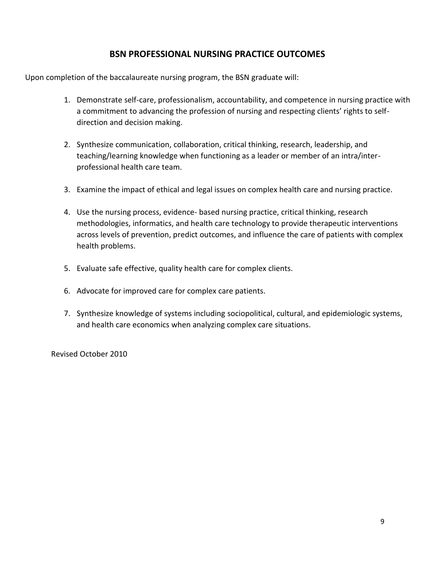#### **BSN PROFESSIONAL NURSING PRACTICE OUTCOMES**

Upon completion of the baccalaureate nursing program, the BSN graduate will:

- 1. Demonstrate self-care, professionalism, accountability, and competence in nursing practice with a commitment to advancing the profession of nursing and respecting clients' rights to selfdirection and decision making.
- 2. Synthesize communication, collaboration, critical thinking, research, leadership, and teaching/learning knowledge when functioning as a leader or member of an intra/interprofessional health care team.
- 3. Examine the impact of ethical and legal issues on complex health care and nursing practice.
- 4. Use the nursing process, evidence- based nursing practice, critical thinking, research methodologies, informatics, and health care technology to provide therapeutic interventions across levels of prevention, predict outcomes, and influence the care of patients with complex health problems.
- 5. Evaluate safe effective, quality health care for complex clients.
- 6. Advocate for improved care for complex care patients.
- 7. Synthesize knowledge of systems including sociopolitical, cultural, and epidemiologic systems, and health care economics when analyzing complex care situations.

Revised October 2010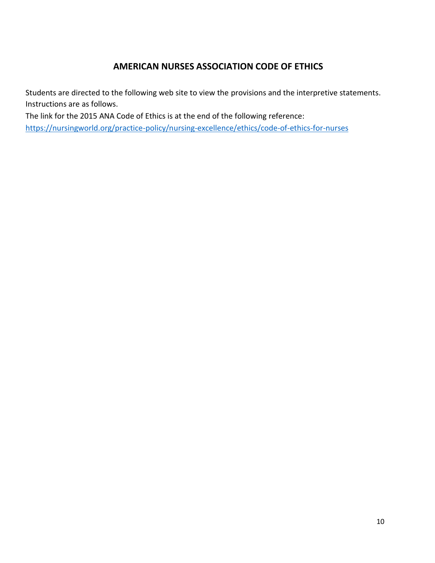#### **AMERICAN NURSES ASSOCIATION CODE OF ETHICS**

Students are directed to the following web site to view the provisions and the interpretive statements. Instructions are as follows.

The link for the 2015 ANA Code of Ethics is at the end of the following reference: <https://nursingworld.org/practice-policy/nursing-excellence/ethics/code-of-ethics-for-nurses>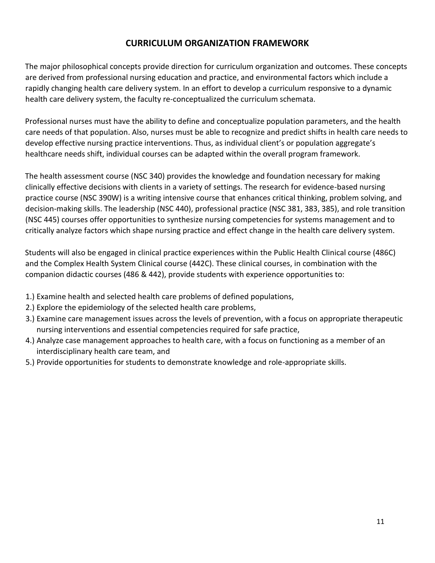#### **CURRICULUM ORGANIZATION FRAMEWORK**

The major philosophical concepts provide direction for curriculum organization and outcomes. These concepts are derived from professional nursing education and practice, and environmental factors which include a rapidly changing health care delivery system. In an effort to develop a curriculum responsive to a dynamic health care delivery system, the faculty re-conceptualized the curriculum schemata.

Professional nurses must have the ability to define and conceptualize population parameters, and the health care needs of that population. Also, nurses must be able to recognize and predict shifts in health care needs to develop effective nursing practice interventions. Thus, as individual client's or population aggregate's healthcare needs shift, individual courses can be adapted within the overall program framework.

The health assessment course (NSC 340) provides the knowledge and foundation necessary for making clinically effective decisions with clients in a variety of settings. The research for evidence-based nursing practice course (NSC 390W) is a writing intensive course that enhances critical thinking, problem solving, and decision-making skills. The leadership (NSC 440), professional practice (NSC 381, 383, 385), and role transition (NSC 445) courses offer opportunities to synthesize nursing competencies for systems management and to critically analyze factors which shape nursing practice and effect change in the health care delivery system.

Students will also be engaged in clinical practice experiences within the Public Health Clinical course (486C) and the Complex Health System Clinical course (442C). These clinical courses, in combination with the companion didactic courses (486 & 442), provide students with experience opportunities to:

- 1.) Examine health and selected health care problems of defined populations,
- 2.) Explore the epidemiology of the selected health care problems,
- 3.) Examine care management issues across the levels of prevention, with a focus on appropriate therapeutic nursing interventions and essential competencies required for safe practice,
- 4.) Analyze case management approaches to health care, with a focus on functioning as a member of an interdisciplinary health care team, and
- 5.) Provide opportunities for students to demonstrate knowledge and role-appropriate skills.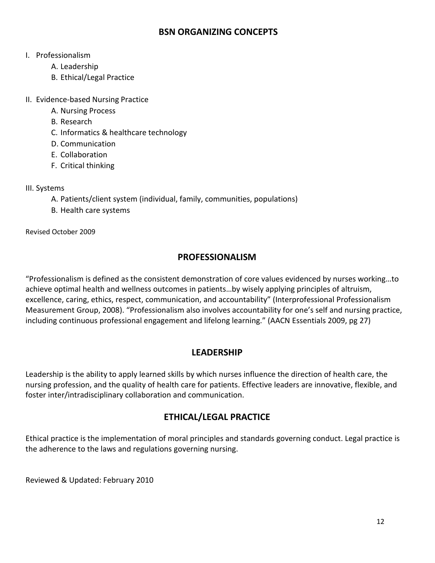#### **BSN ORGANIZING CONCEPTS**

#### I. Professionalism

- A. Leadership
- B. Ethical/Legal Practice
- II. Evidence-based Nursing Practice
	- A. Nursing Process
	- B. Research
	- C. Informatics & healthcare technology
	- D. Communication
	- E. Collaboration
	- F. Critical thinking

#### III. Systems

- A. Patients/client system (individual, family, communities, populations)
- B. Health care systems

Revised October 2009

#### **PROFESSIONALISM**

"Professionalism is defined as the consistent demonstration of core values evidenced by nurses working…to achieve optimal health and wellness outcomes in patients…by wisely applying principles of altruism, excellence, caring, ethics, respect, communication, and accountability" (Interprofessional Professionalism Measurement Group, 2008). "Professionalism also involves accountability for one's self and nursing practice, including continuous professional engagement and lifelong learning." (AACN Essentials 2009, pg 27)

#### **LEADERSHIP**

Leadership is the ability to apply learned skills by which nurses influence the direction of health care, the nursing profession, and the quality of health care for patients. Effective leaders are innovative, flexible, and foster inter/intradisciplinary collaboration and communication.

#### **ETHICAL/LEGAL PRACTICE**

Ethical practice is the implementation of moral principles and standards governing conduct. Legal practice is the adherence to the laws and regulations governing nursing.

Reviewed & Updated: February 2010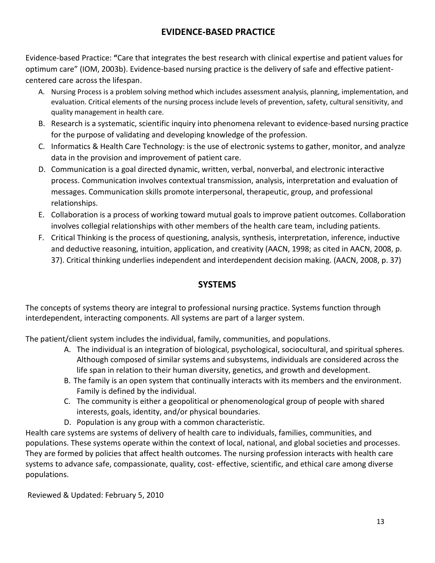#### **EVIDENCE-BASED PRACTICE**

Evidence-based Practice: **"**Care that integrates the best research with clinical expertise and patient values for optimum care" (IOM, 2003b). Evidence-based nursing practice is the delivery of safe and effective patientcentered care across the lifespan.

- A. Nursing Process is a problem solving method which includes assessment analysis, planning, implementation, and evaluation. Critical elements of the nursing process include levels of prevention, safety, cultural sensitivity, and quality management in health care.
- B. Research is a systematic, scientific inquiry into phenomena relevant to evidence-based nursing practice for the purpose of validating and developing knowledge of the profession.
- C. Informatics & Health Care Technology: is the use of electronic systems to gather, monitor, and analyze data in the provision and improvement of patient care.
- D. Communication is a goal directed dynamic, written, verbal, nonverbal, and electronic interactive process. Communication involves contextual transmission, analysis, interpretation and evaluation of messages. Communication skills promote interpersonal, therapeutic, group, and professional relationships.
- E. Collaboration is a process of working toward mutual goals to improve patient outcomes. Collaboration involves collegial relationships with other members of the health care team, including patients.
- F. Critical Thinking is the process of questioning, analysis, synthesis, interpretation, inference, inductive and deductive reasoning, intuition, application, and creativity (AACN, 1998; as cited in AACN, 2008, p. 37). Critical thinking underlies independent and interdependent decision making. (AACN, 2008, p. 37)

#### **SYSTEMS**

The concepts of systems theory are integral to professional nursing practice. Systems function through interdependent, interacting components. All systems are part of a larger system.

The patient/client system includes the individual, family, communities, and populations.

- A. The individual is an integration of biological, psychological, sociocultural, and spiritual spheres. Although composed of similar systems and subsystems, individuals are considered across the life span in relation to their human diversity, genetics, and growth and development.
- B. The family is an open system that continually interacts with its members and the environment. Family is defined by the individual.
- C. The community is either a geopolitical or phenomenological group of people with shared interests, goals, identity, and/or physical boundaries.
- D. Population is any group with a common characteristic.

Health care systems are systems of delivery of health care to individuals, families, communities, and populations. These systems operate within the context of local, national, and global societies and processes. They are formed by policies that affect health outcomes. The nursing profession interacts with health care systems to advance safe, compassionate, quality, cost- effective, scientific, and ethical care among diverse populations.

Reviewed & Updated: February 5, 2010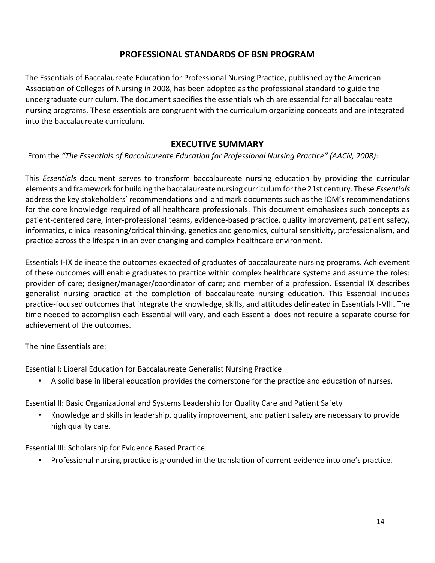#### **PROFESSIONAL STANDARDS OF BSN PROGRAM**

The Essentials of Baccalaureate Education for Professional Nursing Practice, published by the American Association of Colleges of Nursing in 2008, has been adopted as the professional standard to guide the undergraduate curriculum. The document specifies the essentials which are essential for all baccalaureate nursing programs. These essentials are congruent with the curriculum organizing concepts and are integrated into the baccalaureate curriculum.

#### **EXECUTIVE SUMMARY**

From the *"The Essentials of Baccalaureate Education for Professional Nursing Practice" (AACN, 2008)*:

This *Essentials* document serves to transform baccalaureate nursing education by providing the curricular elements and framework for building the baccalaureate nursing curriculum for the 21st century. These *Essentials* address the key stakeholders' recommendations and landmark documents such as the IOM's recommendations for the core knowledge required of all healthcare professionals. This document emphasizes such concepts as patient-centered care, inter-professional teams, evidence-based practice, quality improvement, patient safety, informatics, clinical reasoning/critical thinking, genetics and genomics, cultural sensitivity, professionalism, and practice across the lifespan in an ever changing and complex healthcare environment.

Essentials I-IX delineate the outcomes expected of graduates of baccalaureate nursing programs. Achievement of these outcomes will enable graduates to practice within complex healthcare systems and assume the roles: provider of care; designer/manager/coordinator of care; and member of a profession. Essential IX describes generalist nursing practice at the completion of baccalaureate nursing education. This Essential includes practice-focused outcomes that integrate the knowledge, skills, and attitudes delineated in Essentials I-VIII. The time needed to accomplish each Essential will vary, and each Essential does not require a separate course for achievement of the outcomes.

The nine Essentials are:

Essential I: Liberal Education for Baccalaureate Generalist Nursing Practice

• A solid base in liberal education provides the cornerstone for the practice and education of nurses.

Essential II: Basic Organizational and Systems Leadership for Quality Care and Patient Safety

• Knowledge and skills in leadership, quality improvement, and patient safety are necessary to provide high quality care.

Essential III: Scholarship for Evidence Based Practice

• Professional nursing practice is grounded in the translation of current evidence into one's practice.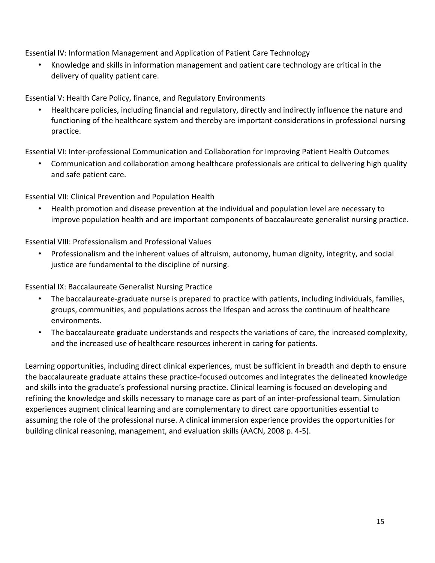Essential IV: Information Management and Application of Patient Care Technology

• Knowledge and skills in information management and patient care technology are critical in the delivery of quality patient care.

Essential V: Health Care Policy, finance, and Regulatory Environments

• Healthcare policies, including financial and regulatory, directly and indirectly influence the nature and functioning of the healthcare system and thereby are important considerations in professional nursing practice.

Essential VI: Inter-professional Communication and Collaboration for Improving Patient Health Outcomes

• Communication and collaboration among healthcare professionals are critical to delivering high quality and safe patient care.

Essential VII: Clinical Prevention and Population Health

• Health promotion and disease prevention at the individual and population level are necessary to improve population health and are important components of baccalaureate generalist nursing practice.

Essential VIII: Professionalism and Professional Values

• Professionalism and the inherent values of altruism, autonomy, human dignity, integrity, and social justice are fundamental to the discipline of nursing.

Essential IX: Baccalaureate Generalist Nursing Practice

- The baccalaureate-graduate nurse is prepared to practice with patients, including individuals, families, groups, communities, and populations across the lifespan and across the continuum of healthcare environments.
- The baccalaureate graduate understands and respects the variations of care, the increased complexity, and the increased use of healthcare resources inherent in caring for patients.

Learning opportunities, including direct clinical experiences, must be sufficient in breadth and depth to ensure the baccalaureate graduate attains these practice-focused outcomes and integrates the delineated knowledge and skills into the graduate's professional nursing practice. Clinical learning is focused on developing and refining the knowledge and skills necessary to manage care as part of an inter-professional team. Simulation experiences augment clinical learning and are complementary to direct care opportunities essential to assuming the role of the professional nurse. A clinical immersion experience provides the opportunities for building clinical reasoning, management, and evaluation skills (AACN, 2008 p. 4-5).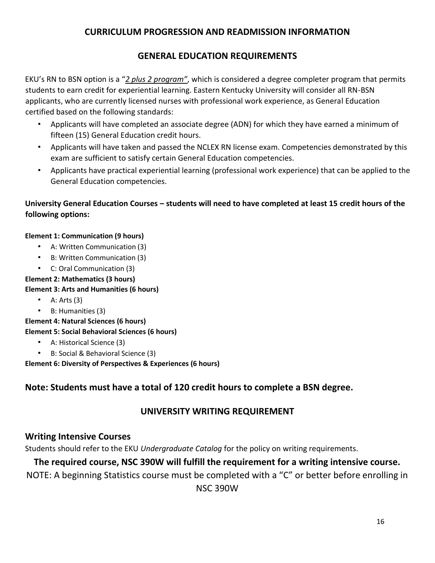#### **CURRICULUM PROGRESSION AND READMISSION INFORMATION**

#### **GENERAL EDUCATION REQUIREMENTS**

EKU's RN to BSN option is a "*2 plus 2 program"*, which is considered a degree completer program that permits students to earn credit for experiential learning. Eastern Kentucky University will consider all RN-BSN applicants, who are currently licensed nurses with professional work experience, as General Education certified based on the following standards:

- Applicants will have completed an associate degree (ADN) for which they have earned a minimum of fifteen (15) General Education credit hours.
- Applicants will have taken and passed the NCLEX RN license exam. Competencies demonstrated by this exam are sufficient to satisfy certain General Education competencies.
- Applicants have practical experiential learning (professional work experience) that can be applied to the General Education competencies.

#### **University General Education Courses – students will need to have completed at least 15 credit hours of the following options:**

#### **Element 1: Communication (9 hours)**

- A: Written Communication (3)
- B: Written Communication (3)
- C: Oral Communication (3)
- **Element 2: Mathematics (3 hours)**

#### **Element 3: Arts and Humanities (6 hours)**

- $A: Arts(3)$
- B: Humanities (3)

**Element 4: Natural Sciences (6 hours) Element 5: Social Behavioral Sciences (6 hours)** 

- A: Historical Science (3)
- B: Social & Behavioral Science (3)

**Element 6: Diversity of Perspectives & Experiences (6 hours)**

#### **Note: Students must have a total of 120 credit hours to complete a BSN degree.**

#### **UNIVERSITY WRITING REQUIREMENT**

#### **Writing Intensive Courses**

Students should refer to the EKU *Undergraduate Catalog* for the policy on writing requirements.

#### **The required course, NSC 390W will fulfill the requirement for a writing intensive course.**

NOTE: A beginning Statistics course must be completed with a "C" or better before enrolling in

NSC 390W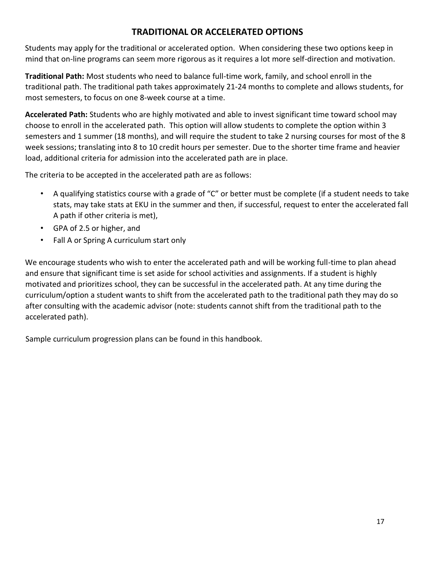#### **TRADITIONAL OR ACCELERATED OPTIONS**

Students may apply for the traditional or accelerated option. When considering these two options keep in mind that on-line programs can seem more rigorous as it requires a lot more self-direction and motivation.

**Traditional Path:** Most students who need to balance full-time work, family, and school enroll in the traditional path. The traditional path takes approximately 21-24 months to complete and allows students, for most semesters, to focus on one 8-week course at a time.

**Accelerated Path:** Students who are highly motivated and able to invest significant time toward school may choose to enroll in the accelerated path. This option will allow students to complete the option within 3 semesters and 1 summer (18 months), and will require the student to take 2 nursing courses for most of the 8 week sessions; translating into 8 to 10 credit hours per semester. Due to the shorter time frame and heavier load, additional criteria for admission into the accelerated path are in place.

The criteria to be accepted in the accelerated path are as follows:

- A qualifying statistics course with a grade of "C" or better must be complete (if a student needs to take stats, may take stats at EKU in the summer and then, if successful, request to enter the accelerated fall A path if other criteria is met),
- GPA of 2.5 or higher, and
- Fall A or Spring A curriculum start only

We encourage students who wish to enter the accelerated path and will be working full-time to plan ahead and ensure that significant time is set aside for school activities and assignments. If a student is highly motivated and prioritizes school, they can be successful in the accelerated path. At any time during the curriculum/option a student wants to shift from the accelerated path to the traditional path they may do so after consulting with the academic advisor (note: students cannot shift from the traditional path to the accelerated path).

Sample curriculum progression plans can be found in this handbook.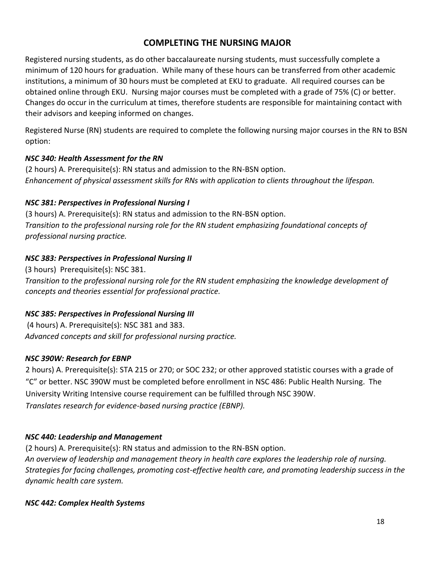#### **COMPLETING THE NURSING MAJOR**

Registered nursing students, as do other baccalaureate nursing students, must successfully complete a minimum of 120 hours for graduation. While many of these hours can be transferred from other academic institutions, a minimum of 30 hours must be completed at EKU to graduate. All required courses can be obtained online through EKU. Nursing major courses must be completed with a grade of 75% (C) or better. Changes do occur in the curriculum at times, therefore students are responsible for maintaining contact with their advisors and keeping informed on changes.

Registered Nurse (RN) students are required to complete the following nursing major courses in the RN to BSN option:

#### *NSC 340: Health Assessment for the RN*

(2 hours) A. Prerequisite(s): RN status and admission to the RN-BSN option. *Enhancement of physical assessment skills for RNs with application to clients throughout the lifespan.* 

#### *NSC 381: Perspectives in Professional Nursing I*

(3 hours) A. Prerequisite(s): RN status and admission to the RN-BSN option. *Transition to the professional nursing role for the RN student emphasizing foundational concepts of professional nursing practice.* 

#### *NSC 383: Perspectives in Professional Nursing II*

(3 hours) Prerequisite(s): NSC 381.

*Transition to the professional nursing role for the RN student emphasizing the knowledge development of concepts and theories essential for professional practice.*

#### *NSC 385: Perspectives in Professional Nursing III*

(4 hours) A. Prerequisite(s): NSC 381 and 383. *Advanced concepts and skill for professional nursing practice.* 

#### *NSC 390W: Research for EBNP*

2 hours) A. Prerequisite(s): STA 215 or 270; or SOC 232; or other approved statistic courses with a grade of "C" or better. NSC 390W must be completed before enrollment in NSC 486: Public Health Nursing. The University Writing Intensive course requirement can be fulfilled through NSC 390W. *Translates research for evidence-based nursing practice (EBNP).*

#### *NSC 440: Leadership and Management*

(2 hours) A. Prerequisite(s): RN status and admission to the RN-BSN option. *An overview of leadership and management theory in health care explores the leadership role of nursing. Strategies for facing challenges, promoting cost-effective health care, and promoting leadership success in the dynamic health care system.* 

*NSC 442: Complex Health Systems*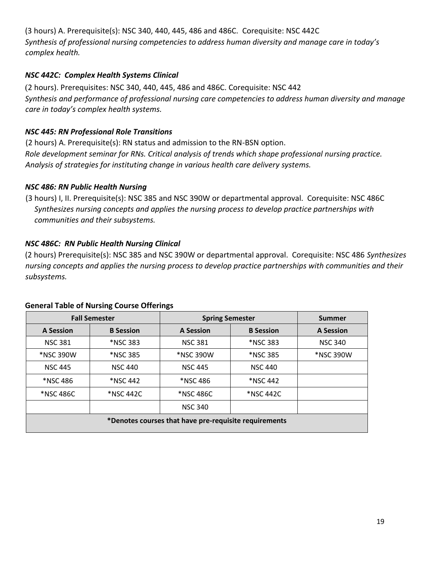(3 hours) A. Prerequisite(s): NSC 340, 440, 445, 486 and 486C. Corequisite: NSC 442C *Synthesis of professional nursing competencies to address human diversity and manage care in today's complex health.* 

#### *NSC 442C: Complex Health Systems Clinical*

(2 hours). Prerequisites: NSC 340, 440, 445, 486 and 486C. Corequisite: NSC 442 *Synthesis and performance of professional nursing care competencies to address human diversity and manage care in today's complex health systems.* 

#### *NSC 445: RN Professional Role Transitions*

(2 hours) A. Prerequisite(s): RN status and admission to the RN-BSN option. *Role development seminar for RNs. Critical analysis of trends which shape professional nursing practice. Analysis of strategies for instituting change in various health care delivery systems.* 

#### *NSC 486: RN Public Health Nursing*

(3 hours) I, II. Prerequisite(s): NSC 385 and NSC 390W or departmental approval. Corequisite: NSC 486C *Synthesizes nursing concepts and applies the nursing process to develop practice partnerships with communities and their subsystems.* 

#### *NSC 486C: RN Public Health Nursing Clinical*

(2 hours) Prerequisite(s): NSC 385 and NSC 390W or departmental approval. Corequisite: NSC 486 *Synthesizes nursing concepts and applies the nursing process to develop practice partnerships with communities and their subsystems.* 

| <b>Fall Semester</b>                                  |                  | <b>Spring Semester</b> |                  | <b>Summer</b>    |  |
|-------------------------------------------------------|------------------|------------------------|------------------|------------------|--|
| A Session                                             | <b>B</b> Session | A Session              | <b>B</b> Session | <b>A Session</b> |  |
| <b>NSC 381</b>                                        | *NSC 383         | <b>NSC 381</b>         | <b>*NSC 383</b>  | <b>NSC 340</b>   |  |
| *NSC 390W                                             | <b>*NSC 385</b>  | *NSC 390W              | <b>*NSC 385</b>  | *NSC 390W        |  |
| <b>NSC 445</b>                                        | <b>NSC 440</b>   | <b>NSC 445</b>         | <b>NSC 440</b>   |                  |  |
| *NSC 486                                              | *NSC 442         | *NSC 486               | *NSC 442         |                  |  |
| *NSC 486C                                             | *NSC 442C        | *NSC 486C              | *NSC 442C        |                  |  |
|                                                       |                  | <b>NSC 340</b>         |                  |                  |  |
| *Denotes courses that have pre-requisite requirements |                  |                        |                  |                  |  |

#### **General Table of Nursing Course Offerings**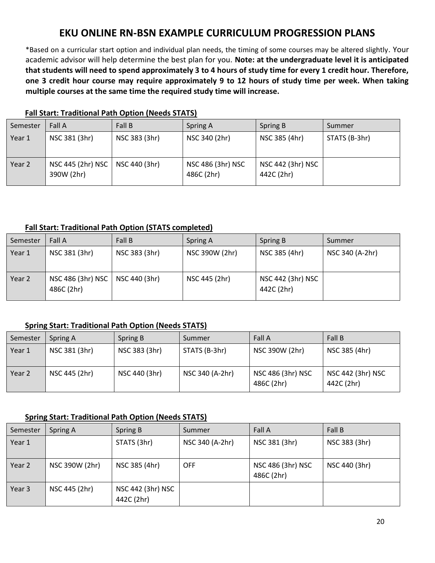#### **EKU ONLINE RN-BSN EXAMPLE CURRICULUM PROGRESSION PLANS**

\*Based on a curricular start option and individual plan needs, the timing of some courses may be altered slightly. Your academic advisor will help determine the best plan for you. **Note: at the undergraduate level it is anticipated that students will need to spend approximately 3 to 4 hours of study time for every 1 credit hour. Therefore, one 3 credit hour course may require approximately 9 to 12 hours of study time per week. When taking multiple courses at the same time the required study time will increase.**

| Semester | Fall A                          | Fall B        | Spring A                        | Spring B                        | Summer        |
|----------|---------------------------------|---------------|---------------------------------|---------------------------------|---------------|
| Year 1   | NSC 381 (3hr)                   | NSC 383 (3hr) | NSC 340 (2hr)                   | NSC 385 (4hr)                   | STATS (B-3hr) |
| Year 2   | NSC 445 (2hr) NSC<br>390W (2hr) | NSC 440 (3hr) | NSC 486 (3hr) NSC<br>486C (2hr) | NSC 442 (3hr) NSC<br>442C (2hr) |               |

#### **Fall Start: Traditional Path Option (Needs STATS)**

#### **Fall Start: Traditional Path Option (STATS completed)**

| Semester | Fall A                          | Fall B        | Spring A       | Spring B                        | Summer          |
|----------|---------------------------------|---------------|----------------|---------------------------------|-----------------|
| Year 1   | NSC 381 (3hr)                   | NSC 383 (3hr) | NSC 390W (2hr) | NSC 385 (4hr)                   | NSC 340 (A-2hr) |
| Year 2   | NSC 486 (3hr) NSC<br>486C (2hr) | NSC 440 (3hr) | NSC 445 (2hr)  | NSC 442 (3hr) NSC<br>442C (2hr) |                 |

#### **Spring Start: Traditional Path Option (Needs STATS)**

| Semester | Spring A      | Spring B      | Summer          | Fall A                          | Fall B                          |
|----------|---------------|---------------|-----------------|---------------------------------|---------------------------------|
| Year 1   | NSC 381 (3hr) | NSC 383 (3hr) | STATS (B-3hr)   | NSC 390W (2hr)                  | NSC 385 (4hr)                   |
| Year 2   | NSC 445 (2hr) | NSC 440 (3hr) | NSC 340 (A-2hr) | NSC 486 (3hr) NSC<br>486C (2hr) | NSC 442 (3hr) NSC<br>442C (2hr) |

#### **Spring Start: Traditional Path Option (Needs STATS)**

| Semester | Spring A       | Spring B                        | Summer          | Fall A                          | Fall B        |
|----------|----------------|---------------------------------|-----------------|---------------------------------|---------------|
| Year 1   |                | STATS (3hr)                     | NSC 340 (A-2hr) | NSC 381 (3hr)                   | NSC 383 (3hr) |
| Year 2   | NSC 390W (2hr) | NSC 385 (4hr)                   | <b>OFF</b>      | NSC 486 (3hr) NSC<br>486C (2hr) | NSC 440 (3hr) |
| Year 3   | NSC 445 (2hr)  | NSC 442 (3hr) NSC<br>442C (2hr) |                 |                                 |               |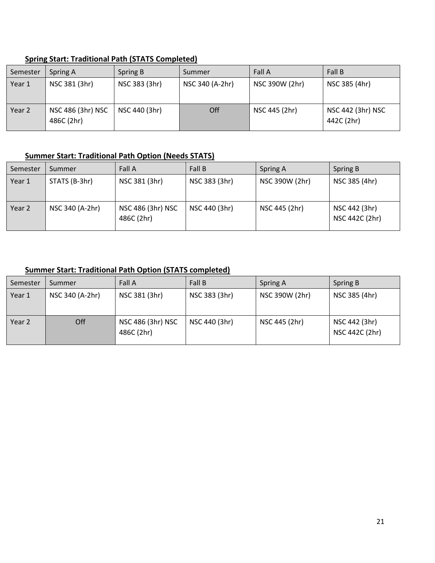| Semester | Spring A                        | Spring B      | Summer          | Fall A         | Fall B                          |
|----------|---------------------------------|---------------|-----------------|----------------|---------------------------------|
| Year 1   | NSC 381 (3hr)                   | NSC 383 (3hr) | NSC 340 (A-2hr) | NSC 390W (2hr) | NSC 385 (4hr)                   |
| Year 2   | NSC 486 (3hr) NSC<br>486C (2hr) | NSC 440 (3hr) | Off             | NSC 445 (2hr)  | NSC 442 (3hr) NSC<br>442C (2hr) |

#### **Spring Start: Traditional Path (STATS Completed)**

#### **Summer Start: Traditional Path Option (Needs STATS)**

| Semester | Summer          | Fall A                          | Fall B        | Spring A       | Spring B                        |
|----------|-----------------|---------------------------------|---------------|----------------|---------------------------------|
| Year 1   | STATS (B-3hr)   | NSC 381 (3hr)                   | NSC 383 (3hr) | NSC 390W (2hr) | NSC 385 (4hr)                   |
| Year 2   | NSC 340 (A-2hr) | NSC 486 (3hr) NSC<br>486C (2hr) | NSC 440 (3hr) | NSC 445 (2hr)  | NSC 442 (3hr)<br>NSC 442C (2hr) |

#### **Summer Start: Traditional Path Option (STATS completed)**

| Semester | Summer          | Fall A                          | Fall B        | Spring A       | Spring B                        |
|----------|-----------------|---------------------------------|---------------|----------------|---------------------------------|
| Year 1   | NSC 340 (A-2hr) | NSC 381 (3hr)                   | NSC 383 (3hr) | NSC 390W (2hr) | NSC 385 (4hr)                   |
| Year 2   | Off             | NSC 486 (3hr) NSC<br>486C (2hr) | NSC 440 (3hr) | NSC 445 (2hr)  | NSC 442 (3hr)<br>NSC 442C (2hr) |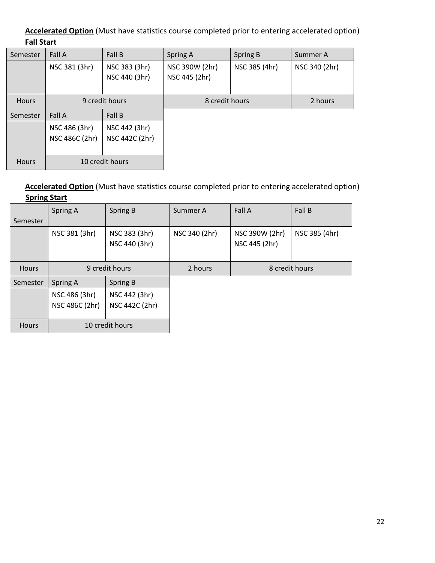#### **Accelerated Option** (Must have statistics course completed prior to entering accelerated option) **Fall Start**

| Semester     | Fall A                          | Fall B                          | Spring A                        | Spring B      | Summer A      |
|--------------|---------------------------------|---------------------------------|---------------------------------|---------------|---------------|
|              | NSC 381 (3hr)                   | NSC 383 (3hr)<br>NSC 440 (3hr)  | NSC 390W (2hr)<br>NSC 445 (2hr) | NSC 385 (4hr) | NSC 340 (2hr) |
| <b>Hours</b> | 9 credit hours                  |                                 | 8 credit hours                  |               | 2 hours       |
| Semester     | Fall A                          | Fall B                          |                                 |               |               |
|              | NSC 486 (3hr)<br>NSC 486C (2hr) | NSC 442 (3hr)<br>NSC 442C (2hr) |                                 |               |               |
| <b>Hours</b> | 10 credit hours                 |                                 |                                 |               |               |

#### **Accelerated Option** (Must have statistics course completed prior to entering accelerated option) **Spring Start**

|              | Spring A        | Spring B                       | Summer A      | Fall A                          | Fall B        |
|--------------|-----------------|--------------------------------|---------------|---------------------------------|---------------|
| Semester     |                 |                                |               |                                 |               |
|              | NSC 381 (3hr)   | NSC 383 (3hr)<br>NSC 440 (3hr) | NSC 340 (2hr) | NSC 390W (2hr)<br>NSC 445 (2hr) | NSC 385 (4hr) |
| <b>Hours</b> | 9 credit hours  |                                | 2 hours       | 8 credit hours                  |               |
| Semester     | Spring A        | Spring B                       |               |                                 |               |
|              | NSC 486 (3hr)   | NSC 442 (3hr)                  |               |                                 |               |
|              | NSC 486C (2hr)  | NSC 442C (2hr)                 |               |                                 |               |
| <b>Hours</b> | 10 credit hours |                                |               |                                 |               |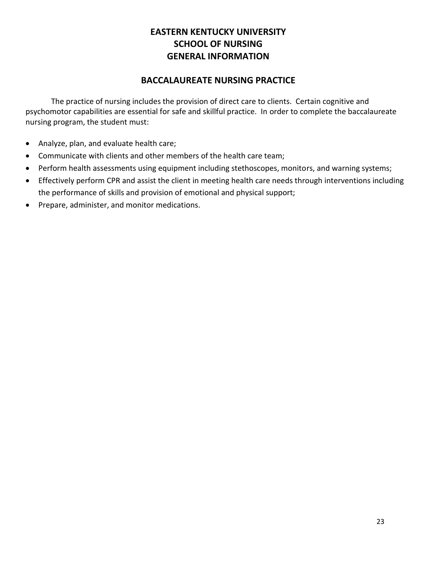#### **EASTERN KENTUCKY UNIVERSITY SCHOOL OF NURSING GENERAL INFORMATION**

#### **BACCALAUREATE NURSING PRACTICE**

The practice of nursing includes the provision of direct care to clients. Certain cognitive and psychomotor capabilities are essential for safe and skillful practice. In order to complete the baccalaureate nursing program, the student must:

- Analyze, plan, and evaluate health care;
- Communicate with clients and other members of the health care team;
- Perform health assessments using equipment including stethoscopes, monitors, and warning systems;
- Effectively perform CPR and assist the client in meeting health care needs through interventions including the performance of skills and provision of emotional and physical support;
- Prepare, administer, and monitor medications.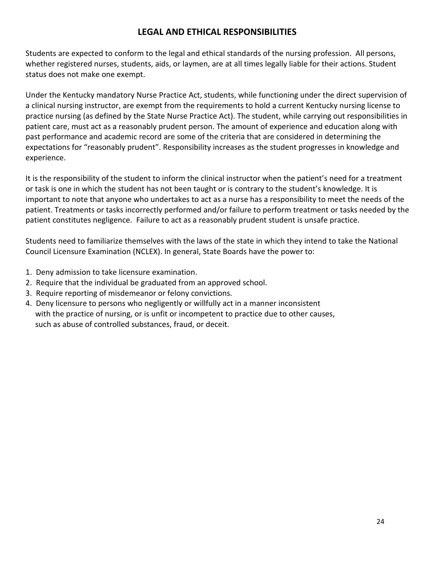#### **LEGAL AND ETHICAL RESPONSIBILITIES**

Students are expected to conform to the legal and ethical standards of the nursing profession. All persons, whether registered nurses, students, aids, or laymen, are at all times legally liable for their actions. Student status does not make one exempt.

Under the Kentucky mandatory Nurse Practice Act, students, while functioning under the direct supervision of a clinical nursing instructor, are exempt from the requirements to hold a current Kentucky nursing license to practice nursing (as defined by the State Nurse Practice Act). The student, while carrying out responsibilities in patient care, must act as a reasonably prudent person. The amount of experience and education along with past performance and academic record are some of the criteria that are considered in determining the expectations for "reasonably prudent". Responsibility increases as the student progresses in knowledge and experience.

It is the responsibility of the student to inform the clinical instructor when the patient's need for a treatment or task is one in which the student has not been taught or is contrary to the student's knowledge. It is important to note that anyone who undertakes to act as a nurse has a responsibility to meet the needs of the patient. Treatments or tasks incorrectly performed and/or failure to perform treatment or tasks needed by the patient constitutes negligence. Failure to act as a reasonably prudent student is unsafe practice.

Students need to familiarize themselves with the laws of the state in which they intend to take the National Council Licensure Examination (NCLEX). In general, State Boards have the power to:

- 1. Deny admission to take licensure examination.
- 2. Require that the individual be graduated from an approved school.
- 3. Require reporting of misdemeanor or felony convictions.
- 4. Deny licensure to persons who negligently or willfully act in a manner inconsistent with the practice of nursing, or is unfit or incompetent to practice due to other causes, such as abuse of controlled substances, fraud, or deceit.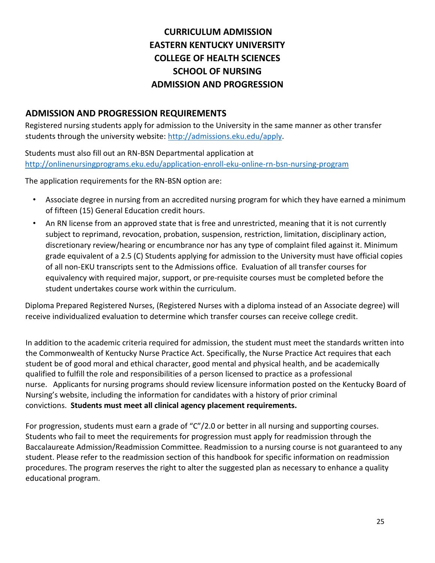#### **CURRICULUM ADMISSION EASTERN KENTUCKY UNIVERSITY COLLEGE OF HEALTH SCIENCES SCHOOL OF NURSING ADMISSION AND PROGRESSION**

#### **ADMISSION AND PROGRESSION REQUIREMENTS**

Registered nursing students apply for admission to the University in the same manner as other transfer students through the university website: http://admissions.eku.edu/apply.

Students must also fill out an RN-BSN Departmental application at <http://onlinenursingprograms.eku.edu/application-enroll-eku-online-rn-bsn-nursing-program>

The application requirements for the RN-BSN option are:

- Associate degree in nursing from an accredited nursing program for which they have earned a minimum of fifteen (15) General Education credit hours.
- An RN license from an approved state that is free and unrestricted, meaning that it is not currently subject to reprimand, revocation, probation, suspension, restriction, limitation, disciplinary action, discretionary review/hearing or encumbrance nor has any type of complaint filed against it. Minimum grade equivalent of a 2.5 (C) Students applying for admission to the University must have official copies of all non-EKU transcripts sent to the Admissions office. Evaluation of all transfer courses for equivalency with required major, support, or pre-requisite courses must be completed before the student undertakes course work within the curriculum.

Diploma Prepared Registered Nurses, (Registered Nurses with a diploma instead of an Associate degree) will receive individualized evaluation to determine which transfer courses can receive college credit.

In addition to the academic criteria required for admission, the student must meet the standards written into the Commonwealth of Kentucky Nurse Practice Act. Specifically, the Nurse Practice Act requires that each student be of good moral and ethical character, good mental and physical health, and be academically qualified to fulfill the role and responsibilities of a person licensed to practice as a professional nurse. Applicants for nursing programs should review licensure information posted on the Kentucky Board of Nursing's website, including the information for candidates with a history of prior criminal convictions. **Students must meet all clinical agency placement requirements.**

For progression, students must earn a grade of "C"/2.0 or better in all nursing and supporting courses. Students who fail to meet the requirements for progression must apply for readmission through the Baccalaureate Admission/Readmission Committee. Readmission to a nursing course is not guaranteed to any student. Please refer to the readmission section of this handbook for specific information on readmission procedures. The program reserves the right to alter the suggested plan as necessary to enhance a quality educational program.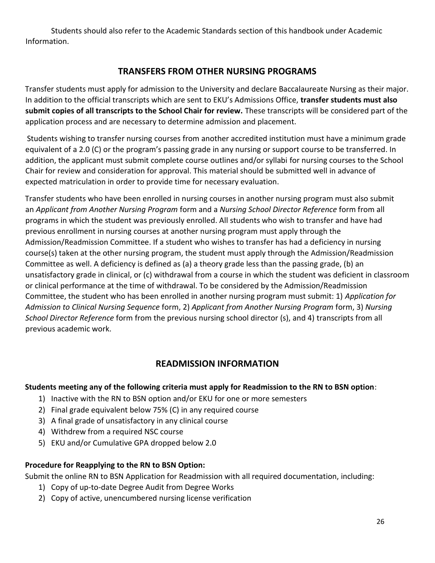Students should also refer to the Academic Standards section of this handbook under Academic Information.

#### **TRANSFERS FROM OTHER NURSING PROGRAMS**

Transfer students must apply for admission to the University and declare Baccalaureate Nursing as their major. In addition to the official transcripts which are sent to EKU's Admissions Office, **transfer students must also submit copies of all transcripts to the School Chair for review.** These transcripts will be considered part of the application process and are necessary to determine admission and placement.

Students wishing to transfer nursing courses from another accredited institution must have a minimum grade equivalent of a 2.0 (C) or the program's passing grade in any nursing or support course to be transferred. In addition, the applicant must submit complete course outlines and/or syllabi for nursing courses to the School Chair for review and consideration for approval. This material should be submitted well in advance of expected matriculation in order to provide time for necessary evaluation.

Transfer students who have been enrolled in nursing courses in another nursing program must also submit an *Applicant from Another Nursing Program* form and a *Nursing School Director Reference* form from all programs in which the student was previously enrolled. All students who wish to transfer and have had previous enrollment in nursing courses at another nursing program must apply through the Admission/Readmission Committee. If a student who wishes to transfer has had a deficiency in nursing course(s) taken at the other nursing program, the student must apply through the Admission/Readmission Committee as well. A deficiency is defined as (a) a theory grade less than the passing grade, (b) an unsatisfactory grade in clinical, or (c) withdrawal from a course in which the student was deficient in classroom or clinical performance at the time of withdrawal. To be considered by the Admission/Readmission Committee, the student who has been enrolled in another nursing program must submit: 1) *Application for Admission to Clinical Nursing Sequence* form, 2) *Applicant from Another Nursing Program* form, 3) *Nursing School Director Reference* form from the previous nursing school director (s), and 4) transcripts from all previous academic work.

#### **READMISSION INFORMATION**

#### **Students meeting any of the following criteria must apply for Readmission to the RN to BSN option**:

- 1) Inactive with the RN to BSN option and/or EKU for one or more semesters
- 2) Final grade equivalent below 75% (C) in any required course
- 3) A final grade of unsatisfactory in any clinical course
- 4) Withdrew from a required NSC course
- 5) EKU and/or Cumulative GPA dropped below 2.0

#### **Procedure for Reapplying to the RN to BSN Option:**

Submit the online RN to BSN Application for Readmission with all required documentation, including:

- 1) Copy of up-to-date Degree Audit from Degree Works
- 2) Copy of active, unencumbered nursing license verification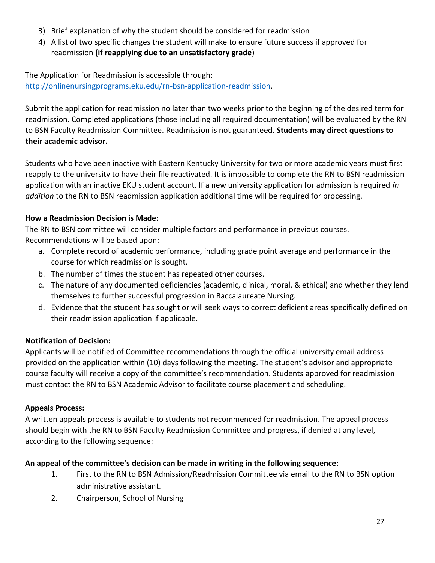- 3) Brief explanation of why the student should be considered for readmission
- 4) A list of two specific changes the student will make to ensure future success if approved for readmission **(if reapplying due to an unsatisfactory grade**)

The Application for Readmission is accessible through: [http://onlinenursingprograms.eku.edu/rn-bsn-application-readmission.](http://onlinenursingprograms.eku.edu/rn-bsn-application-readmission) 

Submit the application for readmission no later than two weeks prior to the beginning of the desired term for readmission. Completed applications (those including all required documentation) will be evaluated by the RN to BSN Faculty Readmission Committee. Readmission is not guaranteed. **Students may direct questions to their academic advisor.** 

Students who have been inactive with Eastern Kentucky University for two or more academic years must first reapply to the university to have their file reactivated. It is impossible to complete the RN to BSN readmission application with an inactive EKU student account. If a new university application for admission is required *in addition* to the RN to BSN readmission application additional time will be required for processing.

#### **How a Readmission Decision is Made:**

The RN to BSN committee will consider multiple factors and performance in previous courses. Recommendations will be based upon:

- a. Complete record of academic performance, including grade point average and performance in the course for which readmission is sought.
- b. The number of times the student has repeated other courses.
- c. The nature of any documented deficiencies (academic, clinical, moral, & ethical) and whether they lend themselves to further successful progression in Baccalaureate Nursing.
- d. Evidence that the student has sought or will seek ways to correct deficient areas specifically defined on their readmission application if applicable.

#### **Notification of Decision:**

Applicants will be notified of Committee recommendations through the official university email address provided on the application within (10) days following the meeting. The student's advisor and appropriate course faculty will receive a copy of the committee's recommendation. Students approved for readmission must contact the RN to BSN Academic Advisor to facilitate course placement and scheduling.

#### **Appeals Process:**

A written appeals process is available to students not recommended for readmission. The appeal process should begin with the RN to BSN Faculty Readmission Committee and progress, if denied at any level, according to the following sequence:

#### **An appeal of the committee's decision can be made in writing in the following sequence**:

- 1. First to the RN to BSN Admission/Readmission Committee via email to the RN to BSN option administrative assistant.
- 2. Chairperson, School of Nursing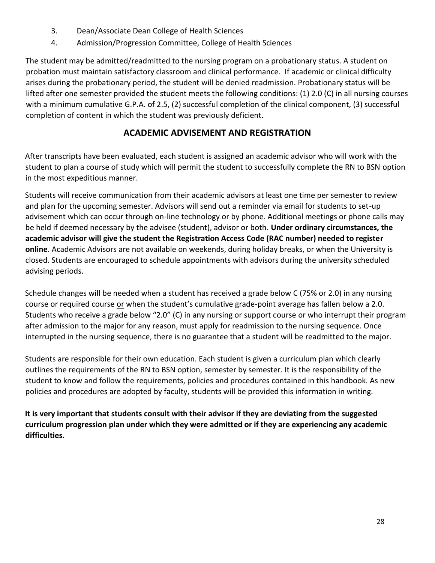- 3. Dean/Associate Dean College of Health Sciences
- 4. Admission/Progression Committee, College of Health Sciences

The student may be admitted/readmitted to the nursing program on a probationary status. A student on probation must maintain satisfactory classroom and clinical performance. If academic or clinical difficulty arises during the probationary period, the student will be denied readmission. Probationary status will be lifted after one semester provided the student meets the following conditions: (1) 2.0 (C) in all nursing courses with a minimum cumulative G.P.A. of 2.5, (2) successful completion of the clinical component, (3) successful completion of content in which the student was previously deficient.

#### **ACADEMIC ADVISEMENT AND REGISTRATION**

After transcripts have been evaluated, each student is assigned an academic advisor who will work with the student to plan a course of study which will permit the student to successfully complete the RN to BSN option in the most expeditious manner.

Students will receive communication from their academic advisors at least one time per semester to review and plan for the upcoming semester. Advisors will send out a reminder via email for students to set-up advisement which can occur through on-line technology or by phone. Additional meetings or phone calls may be held if deemed necessary by the advisee (student), advisor or both. **Under ordinary circumstances, the academic advisor will give the student the Registration Access Code (RAC number) needed to register online**. Academic Advisors are not available on weekends, during holiday breaks, or when the University is closed. Students are encouraged to schedule appointments with advisors during the university scheduled advising periods.

Schedule changes will be needed when a student has received a grade below C (75% or 2.0) in any nursing course or required course or when the student's cumulative grade-point average has fallen below a 2.0. Students who receive a grade below "2.0" (C) in any nursing or support course or who interrupt their program after admission to the major for any reason, must apply for readmission to the nursing sequence. Once interrupted in the nursing sequence, there is no guarantee that a student will be readmitted to the major.

Students are responsible for their own education. Each student is given a curriculum plan which clearly outlines the requirements of the RN to BSN option, semester by semester. It is the responsibility of the student to know and follow the requirements, policies and procedures contained in this handbook. As new policies and procedures are adopted by faculty, students will be provided this information in writing.

**It is very important that students consult with their advisor if they are deviating from the suggested curriculum progression plan under which they were admitted or if they are experiencing any academic difficulties.**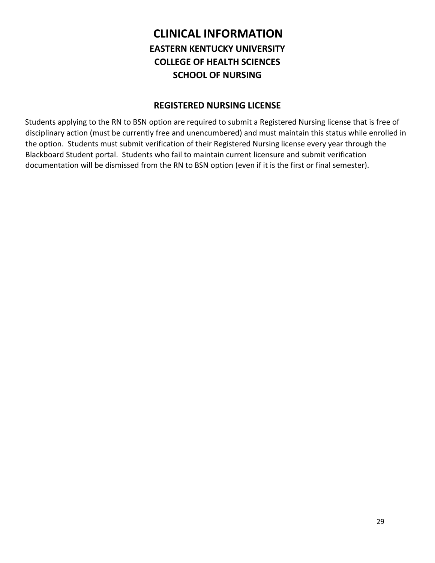#### **CLINICAL INFORMATION EASTERN KENTUCKY UNIVERSITY COLLEGE OF HEALTH SCIENCES SCHOOL OF NURSING**

#### **REGISTERED NURSING LICENSE**

Students applying to the RN to BSN option are required to submit a Registered Nursing license that is free of disciplinary action (must be currently free and unencumbered) and must maintain this status while enrolled in the option. Students must submit verification of their Registered Nursing license every year through the Blackboard Student portal. Students who fail to maintain current licensure and submit verification documentation will be dismissed from the RN to BSN option (even if it is the first or final semester).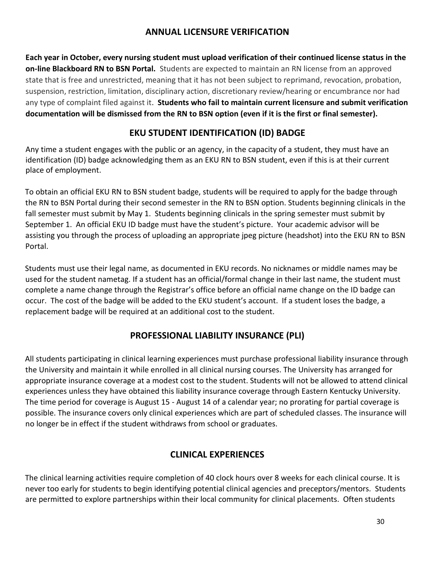#### **ANNUAL LICENSURE VERIFICATION**

**Each year in October, every nursing student must upload verification of their continued license status in the on-line Blackboard RN to BSN Portal.** Students are expected to maintain an RN license from an approved state that is free and unrestricted, meaning that it has not been subject to reprimand, revocation, probation, suspension, restriction, limitation, disciplinary action, discretionary review/hearing or encumbrance nor had any type of complaint filed against it. **Students who fail to maintain current licensure and submit verification documentation will be dismissed from the RN to BSN option (even if it is the first or final semester).**

#### **EKU STUDENT IDENTIFICATION (ID) BADGE**

Any time a student engages with the public or an agency, in the capacity of a student, they must have an identification (ID) badge acknowledging them as an EKU RN to BSN student, even if this is at their current place of employment.

To obtain an official EKU RN to BSN student badge, students will be required to apply for the badge through the RN to BSN Portal during their second semester in the RN to BSN option. Students beginning clinicals in the fall semester must submit by May 1. Students beginning clinicals in the spring semester must submit by September 1. An official EKU ID badge must have the student's picture. Your academic advisor will be assisting you through the process of uploading an appropriate jpeg picture (headshot) into the EKU RN to BSN Portal.

Students must use their legal name, as documented in EKU records. No nicknames or middle names may be used for the student nametag. If a student has an official/formal change in their last name, the student must complete a name change through the Registrar's office before an official name change on the ID badge can occur. The cost of the badge will be added to the EKU student's account. If a student loses the badge, a replacement badge will be required at an additional cost to the student.

#### **PROFESSIONAL LIABILITY INSURANCE (PLI)**

All students participating in clinical learning experiences must purchase professional liability insurance through the University and maintain it while enrolled in all clinical nursing courses. The University has arranged for appropriate insurance coverage at a modest cost to the student. Students will not be allowed to attend clinical experiences unless they have obtained this liability insurance coverage through Eastern Kentucky University. The time period for coverage is August 15 - August 14 of a calendar year; no prorating for partial coverage is possible. The insurance covers only clinical experiences which are part of scheduled classes. The insurance will no longer be in effect if the student withdraws from school or graduates.

#### **CLINICAL EXPERIENCES**

The clinical learning activities require completion of 40 clock hours over 8 weeks for each clinical course. It is never too early for students to begin identifying potential clinical agencies and preceptors/mentors. Students are permitted to explore partnerships within their local community for clinical placements. Often students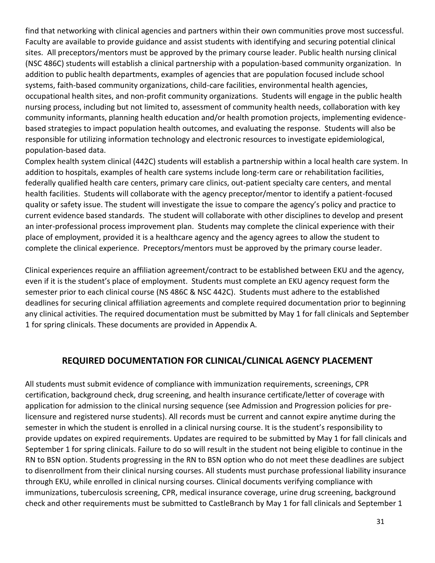find that networking with clinical agencies and partners within their own communities prove most successful. Faculty are available to provide guidance and assist students with identifying and securing potential clinical sites. All preceptors/mentors must be approved by the primary course leader. Public health nursing clinical (NSC 486C) students will establish a clinical partnership with a population-based community organization. In addition to public health departments, examples of agencies that are population focused include school systems, faith-based community organizations, child-care facilities, environmental health agencies, occupational health sites, and non-profit community organizations. Students will engage in the public health nursing process, including but not limited to, assessment of community health needs, collaboration with key community informants, planning health education and/or health promotion projects, implementing evidencebased strategies to impact population health outcomes, and evaluating the response. Students will also be responsible for utilizing information technology and electronic resources to investigate epidemiological, population-based data.

Complex health system clinical (442C) students will establish a partnership within a local health care system. In addition to hospitals, examples of health care systems include long-term care or rehabilitation facilities, federally qualified health care centers, primary care clinics, out-patient specialty care centers, and mental health facilities. Students will collaborate with the agency preceptor/mentor to identify a patient-focused quality or safety issue. The student will investigate the issue to compare the agency's policy and practice to current evidence based standards. The student will collaborate with other disciplines to develop and present an inter-professional process improvement plan. Students may complete the clinical experience with their place of employment, provided it is a healthcare agency and the agency agrees to allow the student to complete the clinical experience. Preceptors/mentors must be approved by the primary course leader.

Clinical experiences require an affiliation agreement/contract to be established between EKU and the agency, even if it is the student's place of employment. Students must complete an EKU agency request form the semester prior to each clinical course (NS 486C & NSC 442C). Students must adhere to the established deadlines for securing clinical affiliation agreements and complete required documentation prior to beginning any clinical activities. The required documentation must be submitted by May 1 for fall clinicals and September 1 for spring clinicals. These documents are provided in Appendix A.

#### **REQUIRED DOCUMENTATION FOR CLINICAL/CLINICAL AGENCY PLACEMENT**

All students must submit evidence of compliance with immunization requirements, screenings, CPR certification, background check, drug screening, and health insurance certificate/letter of coverage with application for admission to the clinical nursing sequence (see Admission and Progression policies for prelicensure and registered nurse students). All records must be current and cannot expire anytime during the semester in which the student is enrolled in a clinical nursing course. It is the student's responsibility to provide updates on expired requirements. Updates are required to be submitted by May 1 for fall clinicals and September 1 for spring clinicals. Failure to do so will result in the student not being eligible to continue in the RN to BSN option. Students progressing in the RN to BSN option who do not meet these deadlines are subject to disenrollment from their clinical nursing courses. All students must purchase professional liability insurance through EKU, while enrolled in clinical nursing courses. Clinical documents verifying compliance with immunizations, tuberculosis screening, CPR, medical insurance coverage, urine drug screening, background check and other requirements must be submitted to CastleBranch by May 1 for fall clinicals and September 1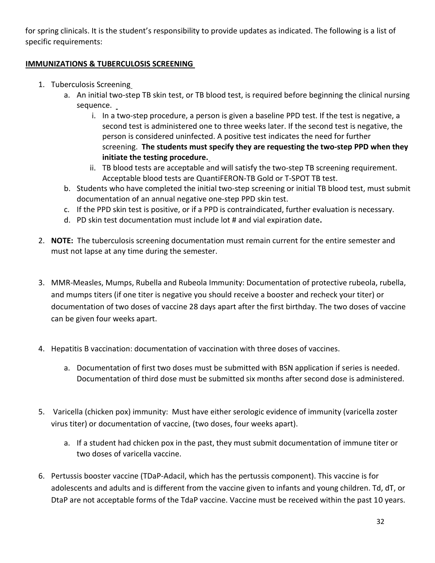for spring clinicals. It is the student's responsibility to provide updates as indicated. The following is a list of specific requirements:

#### **IMMUNIZATIONS & TUBERCULOSIS SCREENING**

- 1. Tuberculosis Screening
	- a. An initial two-step TB skin test, or TB blood test, is required before beginning the clinical nursing sequence. \_
		- i. In a two-step procedure, a person is given a baseline PPD test. If the test is negative, a second test is administered one to three weeks later. If the second test is negative, the person is considered uninfected. A positive test indicates the need for further screening. **The students must specify they are requesting the two-step PPD when they initiate the testing procedure.**
		- ii. TB blood tests are acceptable and will satisfy the two-step TB screening requirement. Acceptable blood tests are QuantiFERON-TB Gold or T-SPOT TB test.
	- b. Students who have completed the initial two-step screening or initial TB blood test, must submit documentation of an annual negative one-step PPD skin test.
	- c. If the PPD skin test is positive, or if a PPD is contraindicated, further evaluation is necessary.
	- d. PD skin test documentation must include lot # and vial expiration date**.**
- 2. **NOTE:** The tuberculosis screening documentation must remain current for the entire semester and must not lapse at any time during the semester.
- 3. MMR-Measles, Mumps, Rubella and Rubeola Immunity: Documentation of protective rubeola, rubella, and mumps titers (if one titer is negative you should receive a booster and recheck your titer) or documentation of two doses of vaccine 28 days apart after the first birthday. The two doses of vaccine can be given four weeks apart.
- 4. Hepatitis B vaccination: documentation of vaccination with three doses of vaccines.
	- a. Documentation of first two doses must be submitted with BSN application if series is needed. Documentation of third dose must be submitted six months after second dose is administered.
- 5. Varicella (chicken pox) immunity: Must have either serologic evidence of immunity (varicella zoster virus titer) or documentation of vaccine, (two doses, four weeks apart).
	- a. If a student had chicken pox in the past, they must submit documentation of immune titer or two doses of varicella vaccine.
- 6. Pertussis booster vaccine (TDaP-Adacil, which has the pertussis component). This vaccine is for adolescents and adults and is different from the vaccine given to infants and young children. Td, dT, or DtaP are not acceptable forms of the TdaP vaccine. Vaccine must be received within the past 10 years.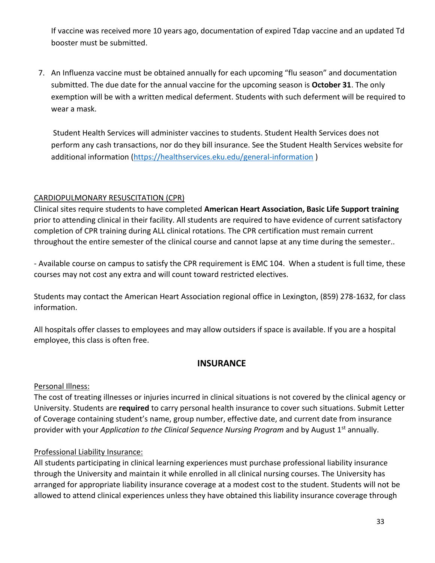If vaccine was received more 10 years ago, documentation of expired Tdap vaccine and an updated Td booster must be submitted.

7. An Influenza vaccine must be obtained annually for each upcoming "flu season" and documentation submitted. The due date for the annual vaccine for the upcoming season is **October 31**. The only exemption will be with a written medical deferment. Students with such deferment will be required to wear a mask.

Student Health Services will administer vaccines to students. Student Health Services does not perform any cash transactions, nor do they bill insurance. See the Student Health Services website for additional information [\(https://healthservices.eku.edu/general-information](https://healthservices.eku.edu/general-information) )

#### CARDIOPULMONARY RESUSCITATION (CPR)

Clinical sites require students to have completed **American Heart Association, Basic Life Support training** prior to attending clinical in their facility. All students are required to have evidence of current satisfactory completion of CPR training during ALL clinical rotations. The CPR certification must remain current throughout the entire semester of the clinical course and cannot lapse at any time during the semester..

- Available course on campus to satisfy the CPR requirement is EMC 104. When a student is full time, these courses may not cost any extra and will count toward restricted electives.

Students may contact the American Heart Association regional office in Lexington, (859) 278-1632, for class information.

All hospitals offer classes to employees and may allow outsiders if space is available. If you are a hospital employee, this class is often free.

#### **INSURANCE**

#### Personal Illness:

The cost of treating illnesses or injuries incurred in clinical situations is not covered by the clinical agency or University. Students are **required** to carry personal health insurance to cover such situations. Submit Letter of Coverage containing student's name, group number, effective date, and current date from insurance provider with your *Application to the Clinical Sequence Nursing Program* and by August 1st annually.

#### Professional Liability Insurance:

All students participating in clinical learning experiences must purchase professional liability insurance through the University and maintain it while enrolled in all clinical nursing courses. The University has arranged for appropriate liability insurance coverage at a modest cost to the student. Students will not be allowed to attend clinical experiences unless they have obtained this liability insurance coverage through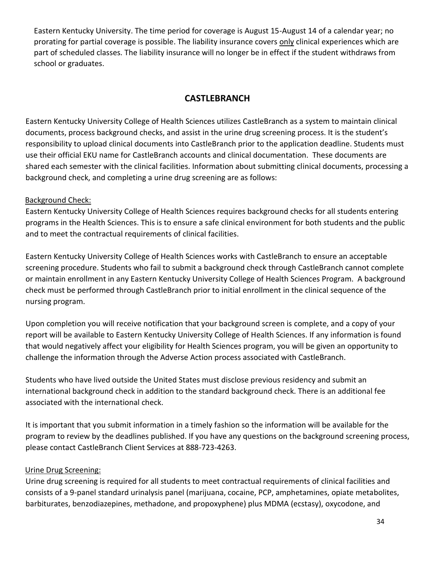Eastern Kentucky University. The time period for coverage is August 15-August 14 of a calendar year; no prorating for partial coverage is possible. The liability insurance covers only clinical experiences which are part of scheduled classes. The liability insurance will no longer be in effect if the student withdraws from school or graduates.

#### **CASTLEBRANCH**

Eastern Kentucky University College of Health Sciences utilizes CastleBranch as a system to maintain clinical documents, process background checks, and assist in the urine drug screening process. It is the student's responsibility to upload clinical documents into CastleBranch prior to the application deadline. Students must use their official EKU name for CastleBranch accounts and clinical documentation. These documents are shared each semester with the clinical facilities. Information about submitting clinical documents, processing a background check, and completing a urine drug screening are as follows:

#### Background Check:

Eastern Kentucky University College of Health Sciences requires background checks for all students entering programs in the Health Sciences. This is to ensure a safe clinical environment for both students and the public and to meet the contractual requirements of clinical facilities.

Eastern Kentucky University College of Health Sciences works with CastleBranch to ensure an acceptable screening procedure. Students who fail to submit a background check through CastleBranch cannot complete or maintain enrollment in any Eastern Kentucky University College of Health Sciences Program. A background check must be performed through CastleBranch prior to initial enrollment in the clinical sequence of the nursing program.

Upon completion you will receive notification that your background screen is complete, and a copy of your report will be available to Eastern Kentucky University College of Health Sciences. If any information is found that would negatively affect your eligibility for Health Sciences program, you will be given an opportunity to challenge the information through the Adverse Action process associated with CastleBranch.

Students who have lived outside the United States must disclose previous residency and submit an international background check in addition to the standard background check. There is an additional fee associated with the international check.

It is important that you submit information in a timely fashion so the information will be available for the program to review by the deadlines published. If you have any questions on the background screening process, please contact CastleBranch Client Services at 888-723-4263.

#### Urine Drug Screening:

Urine drug screening is required for all students to meet contractual requirements of clinical facilities and consists of a 9-panel standard urinalysis panel (marijuana, cocaine, PCP, amphetamines, opiate metabolites, barbiturates, benzodiazepines, methadone, and propoxyphene) plus MDMA (ecstasy), oxycodone, and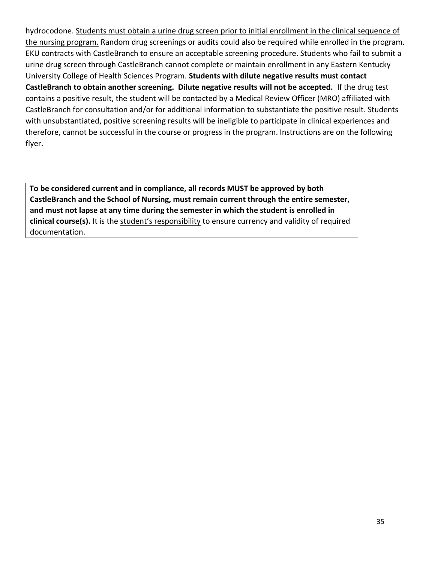hydrocodone. Students must obtain a urine drug screen prior to initial enrollment in the clinical sequence of the nursing program. Random drug screenings or audits could also be required while enrolled in the program. EKU contracts with CastleBranch to ensure an acceptable screening procedure. Students who fail to submit a urine drug screen through CastleBranch cannot complete or maintain enrollment in any Eastern Kentucky University College of Health Sciences Program. **Students with dilute negative results must contact CastleBranch to obtain another screening. Dilute negative results will not be accepted.** If the drug test contains a positive result, the student will be contacted by a Medical Review Officer (MRO) affiliated with CastleBranch for consultation and/or for additional information to substantiate the positive result. Students with unsubstantiated, positive screening results will be ineligible to participate in clinical experiences and therefore, cannot be successful in the course or progress in the program. Instructions are on the following flyer.

**To be considered current and in compliance, all records MUST be approved by both CastleBranch and the School of Nursing, must remain current through the entire semester, and must not lapse at any time during the semester in which the student is enrolled in clinical course(s).** It is the student's responsibility to ensure currency and validity of required documentation.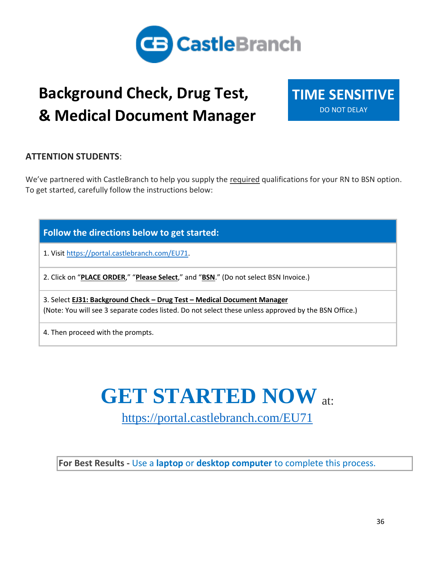

## **Background Check, Drug Test, & Medical Document Manager**

**TIME SENSITIVE**  DO NOT DELAY

#### **ATTENTION STUDENTS**:

We've partnered with CastleBranch to help you supply the required qualifications for your RN to BSN option. To get started, carefully follow the instructions below:

**Follow the directions below to get started:**

1. Visit https://portal.castlebranch.com/EU7[1.](https://portal.castlebranch.com/EJ17)

2. Click on "**PLACE ORDER**," "**Please Select**," and "**BSN**." (Do not select BSN Invoice.)

3. Select **EJ31: Background Check – Drug Test – Medical Document Manager** (Note: You will see 3 separate codes listed. Do not select these unless approved by the BSN Office.)

4. Then proceed with the prompts.

## **GET STARTED NOW** at:

[https://portal.castlebranch.com/EU7](https://portal.castlebranch.com/EU)1

**For Best Results -** Use a **laptop** or **desktop computer** to complete this process.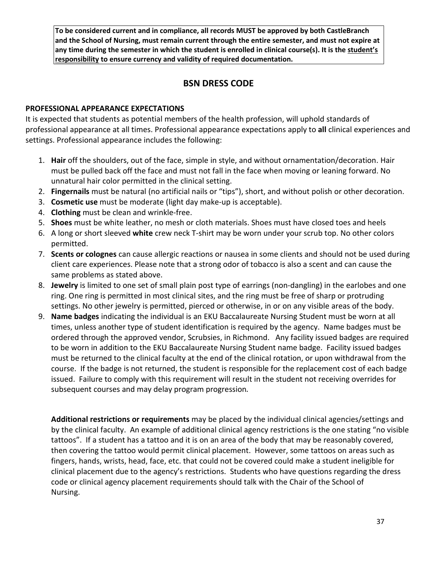**To be considered current and in compliance, all records MUST be approved by both CastleBranch and the School of Nursing, must remain current through the entire semester, and must not expire at any time during the semester in which the student is enrolled in clinical course(s). It is the student's responsibility to ensure currency and validity of required documentation.**

#### **BSN DRESS CODE**

#### **PROFESSIONAL APPEARANCE EXPECTATIONS**

It is expected that students as potential members of the health profession, will uphold standards of professional appearance at all times. Professional appearance expectations apply to **all** clinical experiences and settings. Professional appearance includes the following:

- 1. **Hair** off the shoulders, out of the face, simple in style, and without ornamentation/decoration. Hair must be pulled back off the face and must not fall in the face when moving or leaning forward. No unnatural hair color permitted in the clinical setting.
- 2. **Fingernails** must be natural (no artificial nails or "tips"), short, and without polish or other decoration.
- 3. **Cosmetic use** must be moderate (light day make-up is acceptable).
- 4. **Clothing** must be clean and wrinkle-free.
- 5. **Shoes** must be white leather, no mesh or cloth materials. Shoes must have closed toes and heels
- 6. A long or short sleeved **white** crew neck T-shirt may be worn under your scrub top. No other colors permitted.
- 7. **Scents or colognes** can cause allergic reactions or nausea in some clients and should not be used during client care experiences. Please note that a strong odor of tobacco is also a scent and can cause the same problems as stated above.
- 8. **Jewelry** is limited to one set of small plain post type of earrings (non-dangling) in the earlobes and one ring. One ring is permitted in most clinical sites, and the ring must be free of sharp or protruding settings. No other jewelry is permitted, pierced or otherwise, in or on any visible areas of the body.
- 9. **Name badges** indicating the individual is an EKU Baccalaureate Nursing Student must be worn at all times, unless another type of student identification is required by the agency. Name badges must be ordered through the approved vendor, Scrubsies, in Richmond. Any facility issued badges are required to be worn in addition to the EKU Baccalaureate Nursing Student name badge. Facility issued badges must be returned to the clinical faculty at the end of the clinical rotation, or upon withdrawal from the course. If the badge is not returned, the student is responsible for the replacement cost of each badge issued. Failure to comply with this requirement will result in the student not receiving overrides for subsequent courses and may delay program progression.

**Additional restrictions or requirements** may be placed by the individual clinical agencies/settings and by the clinical faculty. An example of additional clinical agency restrictions is the one stating "no visible tattoos". If a student has a tattoo and it is on an area of the body that may be reasonably covered, then covering the tattoo would permit clinical placement. However, some tattoos on areas such as fingers, hands, wrists, head, face, etc. that could not be covered could make a student ineligible for clinical placement due to the agency's restrictions. Students who have questions regarding the dress code or clinical agency placement requirements should talk with the Chair of the School of Nursing.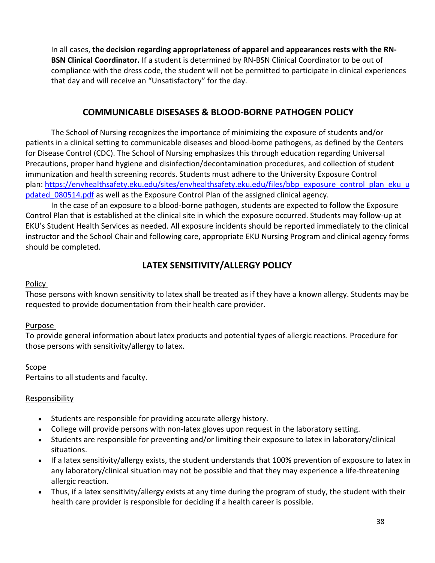In all cases, **the decision regarding appropriateness of apparel and appearances rests with the RN-BSN Clinical Coordinator.** If a student is determined by RN-BSN Clinical Coordinator to be out of compliance with the dress code, the student will not be permitted to participate in clinical experiences that day and will receive an "Unsatisfactory" for the day.

#### **COMMUNICABLE DISESASES & BLOOD-BORNE PATHOGEN POLICY**

The School of Nursing recognizes the importance of minimizing the exposure of students and/or patients in a clinical setting to communicable diseases and blood-borne pathogens, as defined by the Centers for Disease Control (CDC). The School of Nursing emphasizes this through education regarding Universal Precautions, proper hand hygiene and disinfection/decontamination procedures, and collection of student immunization and health screening records. Students must adhere to the University Exposure Control plan: [https://envhealthsafety.eku.edu/sites/envhealthsafety.eku.edu/files/bbp\\_exposure\\_control\\_plan\\_eku\\_u](https://nam02.safelinks.protection.outlook.com/?url=https%3A%2F%2Fenvhealthsafety.eku.edu%2Fsites%2Fenvhealthsafety.eku.edu%2Ffiles%2Fbbp_exposure_control_plan_eku_updated_080514.pdf&data=04%7C01%7CCatherine.Edwards%40eku.edu%7C50df25c74cdb424e973608d94abb9342%7Ce23043271af04dee83fbc1b2fd6db0bb%7C0%7C0%7C637622991746122690%7CUnknown%7CTWFpbGZsb3d8eyJWIjoiMC4wLjAwMDAiLCJQIjoiV2luMzIiLCJBTiI6Ik1haWwiLCJXVCI6Mn0%3D%7C1000&sdata=xEbb0Qsrmb778reWZfhLXNEWpBfvk36zdGVoFh%2Bd3uI%3D&reserved=0) pdated 080514.pdf as well as the Exposure Control Plan of the assigned clinical agency.

In the case of an exposure to a blood-borne pathogen, students are expected to follow the Exposure Control Plan that is established at the clinical site in which the exposure occurred. Students may follow-up at EKU's Student Health Services as needed. All exposure incidents should be reported immediately to the clinical instructor and the School Chair and following care, appropriate EKU Nursing Program and clinical agency forms should be completed.

#### **LATEX SENSITIVITY/ALLERGY POLICY**

#### Policy

Those persons with known sensitivity to latex shall be treated as if they have a known allergy. Students may be requested to provide documentation from their health care provider.

#### Purpose

To provide general information about latex products and potential types of allergic reactions. Procedure for those persons with sensitivity/allergy to latex.

#### Scope

Pertains to all students and faculty.

#### **Responsibility**

- Students are responsible for providing accurate allergy history.
- College will provide persons with non-latex gloves upon request in the laboratory setting.
- Students are responsible for preventing and/or limiting their exposure to latex in laboratory/clinical situations.
- If a latex sensitivity/allergy exists, the student understands that 100% prevention of exposure to latex in any laboratory/clinical situation may not be possible and that they may experience a life-threatening allergic reaction.
- Thus, if a latex sensitivity/allergy exists at any time during the program of study, the student with their health care provider is responsible for deciding if a health career is possible.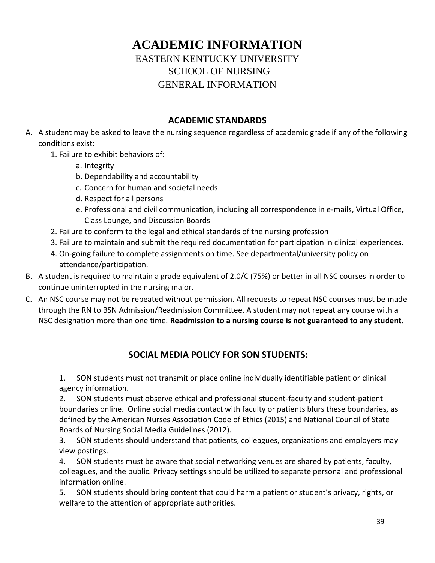#### **ACADEMIC INFORMATION** EASTERN KENTUCKY UNIVERSITY SCHOOL OF NURSING GENERAL INFORMATION

#### **ACADEMIC STANDARDS**

- A. A student may be asked to leave the nursing sequence regardless of academic grade if any of the following conditions exist:
	- 1. Failure to exhibit behaviors of:
		- a. Integrity
		- b. Dependability and accountability
		- c. Concern for human and societal needs
		- d. Respect for all persons
		- e. Professional and civil communication, including all correspondence in e-mails, Virtual Office, Class Lounge, and Discussion Boards
	- 2. Failure to conform to the legal and ethical standards of the nursing profession
	- 3. Failure to maintain and submit the required documentation for participation in clinical experiences.
	- 4. On-going failure to complete assignments on time. See departmental/university policy on attendance/participation.
- B. A student is required to maintain a grade equivalent of 2.0/C (75%) or better in all NSC courses in order to continue uninterrupted in the nursing major.
- C. An NSC course may not be repeated without permission. All requests to repeat NSC courses must be made through the RN to BSN Admission/Readmission Committee. A student may not repeat any course with a NSC designation more than one time. **Readmission to a nursing course is not guaranteed to any student.**

#### **SOCIAL MEDIA POLICY FOR SON STUDENTS:**

1. SON students must not transmit or place online individually identifiable patient or clinical agency information.

2. SON students must observe ethical and professional student-faculty and student-patient boundaries online. Online social media contact with faculty or patients blurs these boundaries, as defined by the American Nurses Association Code of Ethics (2015) and National Council of State Boards of Nursing Social Media Guidelines (2012).

3. SON students should understand that patients, colleagues, organizations and employers may view postings.

4. SON students must be aware that social networking venues are shared by patients, faculty, colleagues, and the public. Privacy settings should be utilized to separate personal and professional information online.

5. SON students should bring content that could harm a patient or student's privacy, rights, or welfare to the attention of appropriate authorities.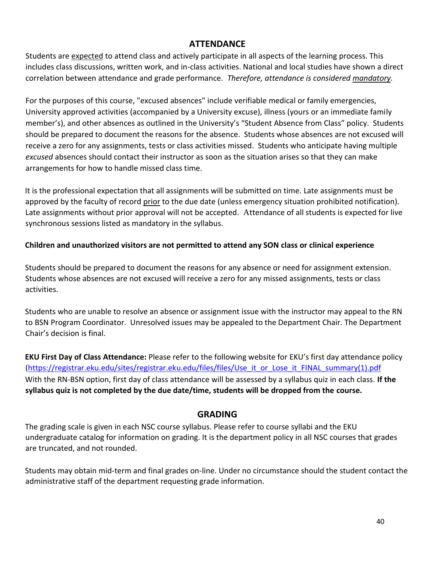#### **ATTENDANCE**

Students are expected to attend class and actively participate in all aspects of the learning process. This includes class discussions, written work, and in-class activities. National and local studies have shown a direct correlation between attendance and grade performance. *Therefore, attendance is considered mandatory.*

For the purposes of this course, "excused absences" include verifiable medical or family emergencies, University approved activities (accompanied by a University excuse), illness (yours or an immediate family member's), and other absences as outlined in the University's "Student Absence from Class" policy. Students should be prepared to document the reasons for the absence. Students whose absences are not excused will receive a zero for any assignments, tests or class activities missed. Students who anticipate having multiple *excused* absences should contact their instructor as soon as the situation arises so that they can make arrangements for how to handle missed class time.

It is the professional expectation that all assignments will be submitted on time. Late assignments must be approved by the faculty of record prior to the due date (unless emergency situation prohibited notification). Late assignments without prior approval will not be accepted. Attendance of all students is expected for live synchronous sessions listed as mandatory in the syllabus.

#### **Children and unauthorized visitors are not permitted to attend any SON class or clinical experience**

Students should be prepared to document the reasons for any absence or need for assignment extension. Students whose absences are not excused will receive a zero for any missed assignments, tests or class activities.

Students who are unable to resolve an absence or assignment issue with the instructor may appeal to the RN to BSN Program Coordinator. Unresolved issues may be appealed to the Department Chair. The Department Chair's decision is final.

**EKU First Day of Class Attendance:** Please refer to the following website for EKU's first day attendance policy [\(https://registrar.eku.edu/sites/registrar.eku.edu/files/files/Use\\_it\\_or\\_Lose\\_it\\_FINAL\\_summary\(1\).pdf](https://registrar.eku.edu/sites/registrar.eku.edu/files/files/Use_it_or_Lose_it_FINAL_summary(1).pdf) With the RN-BSN option, first day of class attendance will be assessed by a syllabus quiz in each class. **If the syllabus quiz is not completed by the due date/time, students will be dropped from the course.**

#### **GRADING**

The grading scale is given in each NSC course syllabus. Please refer to course syllabi and the EKU undergraduate catalog for information on grading. It is the department policy in all NSC courses that grades are truncated, and not rounded.

Students may obtain mid-term and final grades on-line. Under no circumstance should the student contact the administrative staff of the department requesting grade information.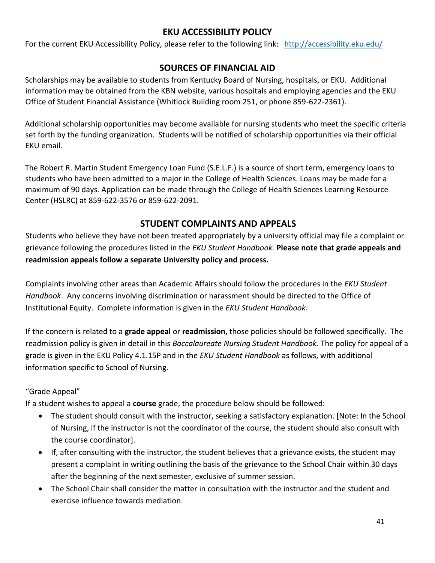#### **EKU ACCESSIBILITY POLICY**

For the current EKU Accessibility Policy, please refer to the following link: <http://accessibility.eku.edu/>

#### **SOURCES OF FINANCIAL AID**

Scholarships may be available to students from Kentucky Board of Nursing, hospitals, or EKU. Additional information may be obtained from the KBN website, various hospitals and employing agencies and the EKU Office of Student Financial Assistance (Whitlock Building room 251, or phone 859-622-2361).

Additional scholarship opportunities may become available for nursing students who meet the specific criteria set forth by the funding organization. Students will be notified of scholarship opportunities via their official EKU email.

The Robert R. Martin Student Emergency Loan Fund (S.E.L.F.) is a source of short term, emergency loans to students who have been admitted to a major in the College of Health Sciences. Loans may be made for a maximum of 90 days. Application can be made through the College of Health Sciences Learning Resource Center (HSLRC) at 859-622-3576 or 859-622-2091.

#### **STUDENT COMPLAINTS AND APPEALS**

Students who believe they have not been treated appropriately by a university official may file a complaint or grievance following the procedures listed in the *EKU Student Handbook.* **Please note that grade appeals and readmission appeals follow a separate University policy and process.** 

Complaints involving other areas than Academic Affairs should follow the procedures in the *EKU Student Handbook*. Any concerns involving discrimination or harassment should be directed to the Office of Institutional Equity. Complete information is given in the *EKU Student Handbook.*

If the concern is related to a **grade appeal** or **readmission**, those policies should be followed specifically. The readmission policy is given in detail in this *Baccalaureate Nursing Student Handbook.* The policy for appeal of a grade is given in the EKU Policy 4.1.15P and in the *EKU Student Handbook* as follows, with additional information specific to School of Nursing.

#### "Grade Appeal"

If a student wishes to appeal a **course** grade, the procedure below should be followed:

- The student should consult with the instructor, seeking a satisfactory explanation. [Note: In the School of Nursing, if the instructor is not the coordinator of the course, the student should also consult with the course coordinator].
- If, after consulting with the instructor, the student believes that a grievance exists, the student may present a complaint in writing outlining the basis of the grievance to the School Chair within 30 days after the beginning of the next semester, exclusive of summer session.
- The School Chair shall consider the matter in consultation with the instructor and the student and exercise influence towards mediation.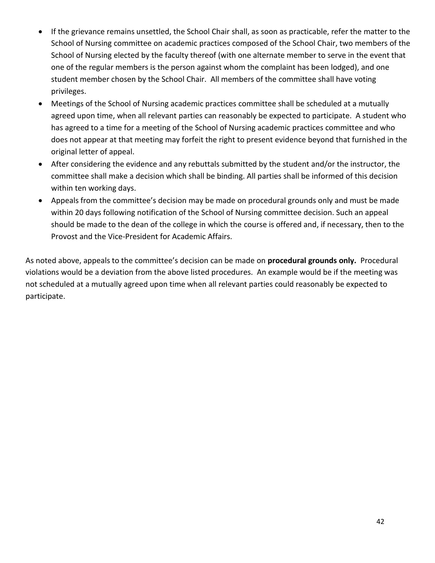- If the grievance remains unsettled, the School Chair shall, as soon as practicable, refer the matter to the School of Nursing committee on academic practices composed of the School Chair, two members of the School of Nursing elected by the faculty thereof (with one alternate member to serve in the event that one of the regular members is the person against whom the complaint has been lodged), and one student member chosen by the School Chair. All members of the committee shall have voting privileges.
- Meetings of the School of Nursing academic practices committee shall be scheduled at a mutually agreed upon time, when all relevant parties can reasonably be expected to participate. A student who has agreed to a time for a meeting of the School of Nursing academic practices committee and who does not appear at that meeting may forfeit the right to present evidence beyond that furnished in the original letter of appeal.
- After considering the evidence and any rebuttals submitted by the student and/or the instructor, the committee shall make a decision which shall be binding. All parties shall be informed of this decision within ten working days.
- Appeals from the committee's decision may be made on procedural grounds only and must be made within 20 days following notification of the School of Nursing committee decision. Such an appeal should be made to the dean of the college in which the course is offered and, if necessary, then to the Provost and the Vice-President for Academic Affairs.

As noted above, appeals to the committee's decision can be made on **procedural grounds only.** Procedural violations would be a deviation from the above listed procedures. An example would be if the meeting was not scheduled at a mutually agreed upon time when all relevant parties could reasonably be expected to participate.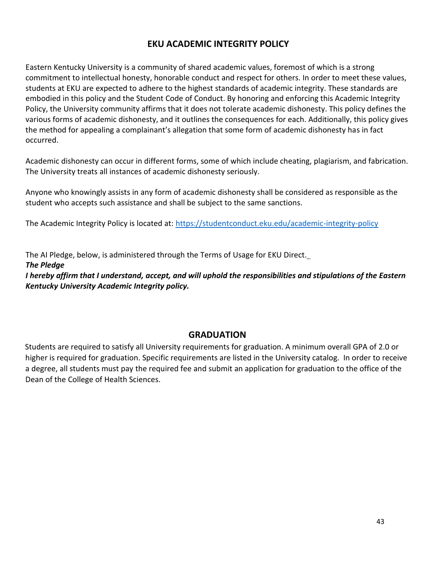#### **EKU ACADEMIC INTEGRITY POLICY**

Eastern Kentucky University is a community of shared academic values, foremost of which is a strong commitment to intellectual honesty, honorable conduct and respect for others. In order to meet these values, students at EKU are expected to adhere to the highest standards of academic integrity. These standards are embodied in this policy and the Student Code of Conduct. By honoring and enforcing this Academic Integrity Policy, the University community affirms that it does not tolerate academic dishonesty. This policy defines the various forms of academic dishonesty, and it outlines the consequences for each. Additionally, this policy gives the method for appealing a complainant's allegation that some form of academic dishonesty has in fact occurred.

Academic dishonesty can occur in different forms, some of which include cheating, plagiarism, and fabrication. The University treats all instances of academic dishonesty seriously.

Anyone who knowingly assists in any form of academic dishonesty shall be considered as responsible as the student who accepts such assistance and shall be subject to the same sanctions.

The Academic Integrity Policy is located at:<https://studentconduct.eku.edu/academic-integrity-policy>

The AI Pledge, below, is administered through the Terms of Usage for EKU Direct.

*The Pledge*

I hereby affirm that I understand, accept, and will uphold the responsibilities and stipulations of the Eastern *Kentucky University Academic Integrity policy.*

#### **GRADUATION**

Students are required to satisfy all University requirements for graduation. A minimum overall GPA of 2.0 or higher is required for graduation. Specific requirements are listed in the University catalog. In order to receive a degree, all students must pay the required fee and submit an application for graduation to the office of the Dean of the College of Health Sciences.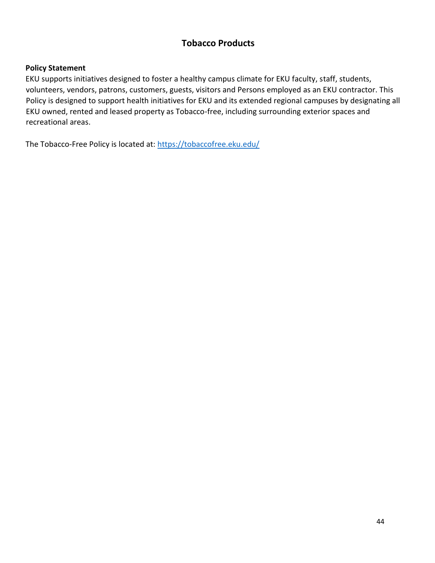#### **Tobacco Products**

#### **Policy Statement**

EKU supports initiatives designed to foster a healthy campus climate for EKU faculty, staff, students, volunteers, vendors, patrons, customers, guests, visitors and Persons employed as an EKU contractor. This Policy is designed to support health initiatives for EKU and its extended regional campuses by designating all EKU owned, rented and leased property as Tobacco-free, including surrounding exterior spaces and recreational areas.

The Tobacco-Free Policy is located at:<https://tobaccofree.eku.edu/>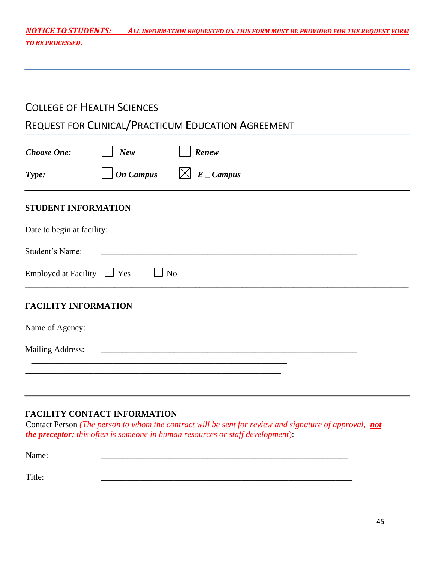*NOTICE TO STUDENTS: ALL INFORMATION REQUESTED ON THIS FORM MUST BE PROVIDED FOR THE REQUEST FORM TO BE PROCESSED.*

### COLLEGE OF HEALTH SCIENCES

#### REQUEST FOR CLINICAL/PRACTICUM EDUCATION AGREEMENT

| <b>Choose One:</b>              | <b>New</b>       | Renew                                                                                                                |  |
|---------------------------------|------------------|----------------------------------------------------------------------------------------------------------------------|--|
| Type:                           | <b>On Campus</b> | $\boxtimes$ E _ Campus                                                                                               |  |
| <b>STUDENT INFORMATION</b>      |                  |                                                                                                                      |  |
|                                 |                  |                                                                                                                      |  |
| Student's Name:                 |                  |                                                                                                                      |  |
| Employed at Facility $\Box$ Yes |                  | N <sub>o</sub>                                                                                                       |  |
| <b>FACILITY INFORMATION</b>     |                  |                                                                                                                      |  |
| Name of Agency:                 |                  | <u> 2000 - Jan James James James James James James James James James James James James James James James James J</u> |  |
| <b>Mailing Address:</b>         |                  |                                                                                                                      |  |
|                                 |                  |                                                                                                                      |  |
|                                 |                  |                                                                                                                      |  |

#### **FACILITY CONTACT INFORMATION**

Contact Person *(The person to whom the contract will be sent for review and signature of approval, not the preceptor; this often is someone in human resources or staff development*):

Name: \_\_\_\_\_\_\_\_\_\_\_\_\_\_\_\_\_\_\_\_\_\_\_\_\_\_\_\_\_\_\_\_\_\_\_\_\_\_\_\_\_\_\_\_\_\_\_\_\_\_\_\_\_\_\_\_\_\_

Title: \_\_\_\_\_\_\_\_\_\_\_\_\_\_\_\_\_\_\_\_\_\_\_\_\_\_\_\_\_\_\_\_\_\_\_\_\_\_\_\_\_\_\_\_\_\_\_\_\_\_\_\_\_\_\_\_\_\_\_